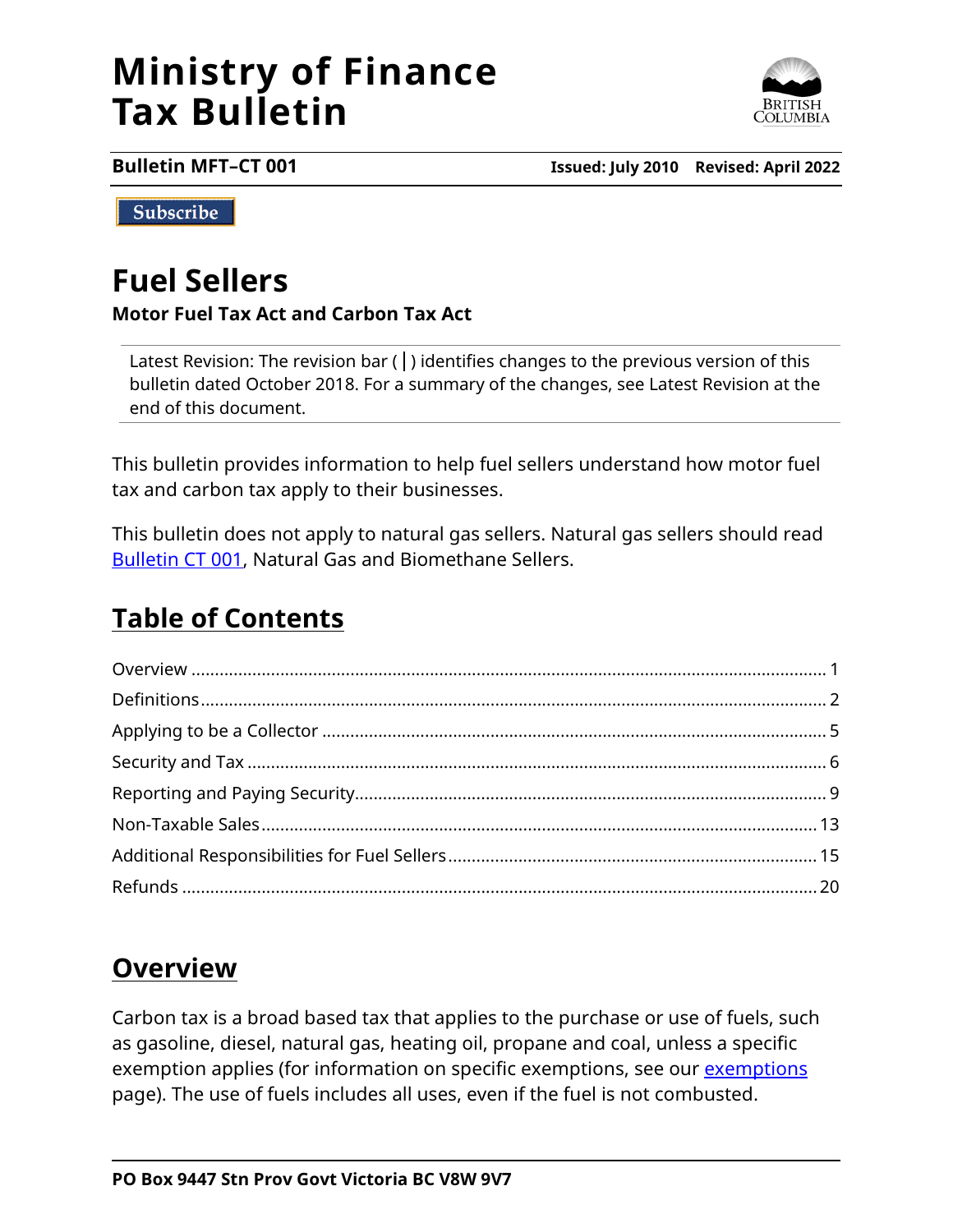# **Ministry of Finance Tax Bulletin**



**Bulletin MFT–CT 001 Issued: July 2010 Revised: April 2022**

Subscribe

# **Fuel Sellers**

#### **Motor Fuel Tax Act and Carbon Tax Act**

Latest Revision: The revision bar  $( )$  identifies changes to the previous version of this bulletin dated October 2018. For a summary of the changes, see Latest Revision at the end of this document.

This bulletin provides information to help fuel sellers understand how motor fuel tax and carbon tax apply to their businesses.

This bulletin does not apply to natural gas sellers. Natural gas sellers should read [Bulletin CT 001,](http://www2.gov.bc.ca/assets/download/9783849DA3274C7E9469F33F73082AAE) Natural Gas and Biomethane Sellers.

# **Table of Contents**

# <span id="page-0-0"></span>**Overview**

Carbon tax is a broad based tax that applies to the purchase or use of fuels, such as gasoline, diesel, natural gas, heating oil, propane and coal, unless a specific exemption applies (for information on specific [exemptions](http://www2.gov.bc.ca/gov/content?id=595366BB35434674B7D5290A25320637), see our exemptions page). The use of fuels includes all uses, even if the fuel is not combusted.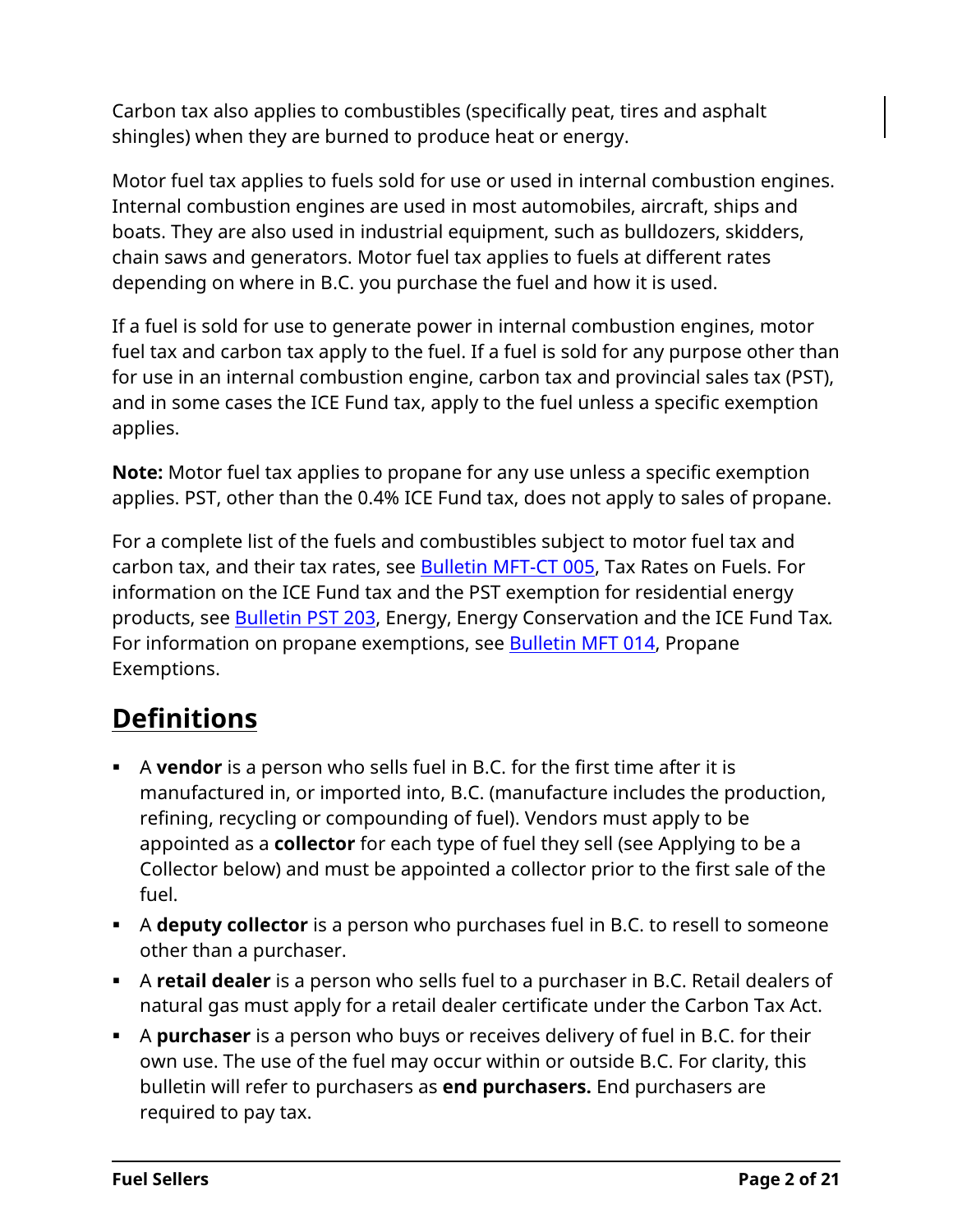Carbon tax also applies to combustibles (specifically peat, tires and asphalt shingles) when they are burned to produce heat or energy.

Motor fuel tax applies to fuels sold for use or used in internal combustion engines. Internal combustion engines are used in most automobiles, aircraft, ships and boats. They are also used in industrial equipment, such as bulldozers, skidders, chain saws and generators. Motor fuel tax applies to fuels at different rates depending on where in B.C. you purchase the fuel and how it is used.

If a fuel is sold for use to generate power in internal combustion engines, motor fuel tax and carbon tax apply to the fuel. If a fuel is sold for any purpose other than for use in an internal combustion engine, carbon tax and provincial sales tax (PST), and in some cases the ICE Fund tax, apply to the fuel unless a specific exemption applies.

**Note:** Motor fuel tax applies to propane for any use unless a specific exemption applies. PST, other than the 0.4% ICE Fund tax, does not apply to sales of propane.

For a complete list of the fuels and combustibles subject to motor fuel tax and carbon tax, and their tax rates, see [Bulletin](http://www2.gov.bc.ca/assets/download/F0C389126B1546C2BCB8432F24EA777F) MFT-CT 005, Tax Rates on Fuels. For information on the ICE Fund tax and the PST exemption for residential energy products, see [Bulletin](http://www2.gov.bc.ca/assets/download/AB226CD25A624A10B5AD18EABEF74976) PST 203, Energy, Energy Conservation and the ICE Fund Tax*.* For information on propane exemptions, see [Bulletin](http://www2.gov.bc.ca/assets/download/7825E03E42704AD980C37A93F7870424) MFT 014, Propane Exemptions.

# <span id="page-1-0"></span>**Definitions**

- A **vendor** is a person who sells fuel in B.C. for the first time after it is manufactured in, or imported into, B.C. (manufacture includes the production, refining, recycling or compounding of fuel). Vendors must apply to be appointed as a **collector** for each type of fuel they sell (see Applying to be a Collector below) and must be appointed a collector prior to the first sale of the fuel.
- A **deputy collector** is a person who purchases fuel in B.C. to resell to someone other than a purchaser.
- A **retail dealer** is a person who sells fuel to a purchaser in B.C. Retail dealers of natural gas must apply for a retail dealer certificate under the Carbon Tax Act.
- A **purchaser** is a person who buys or receives delivery of fuel in B.C. for their own use. The use of the fuel may occur within or outside B.C. For clarity, this bulletin will refer to purchasers as **end purchasers.** End purchasers are required to pay tax.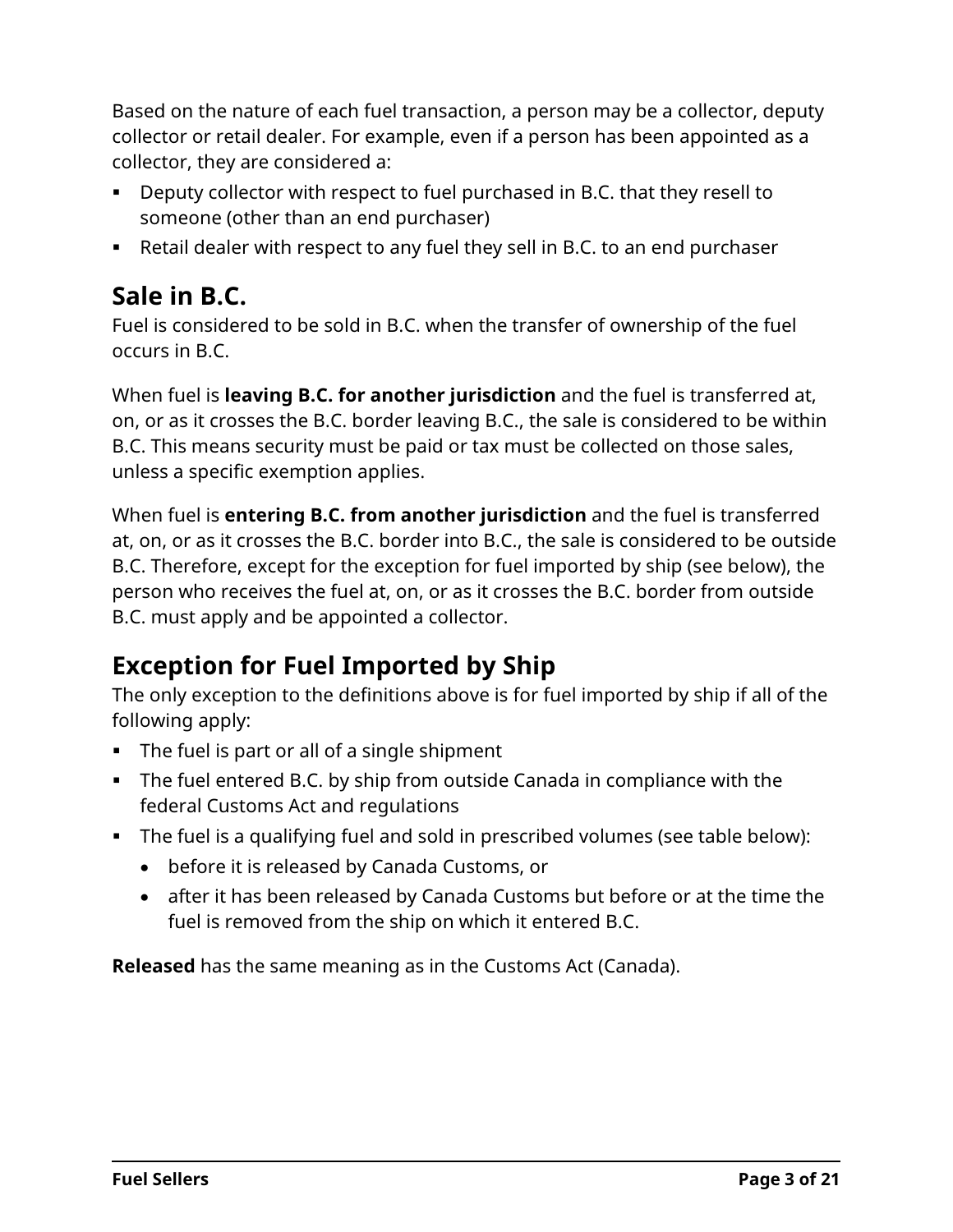Based on the nature of each fuel transaction, a person may be a collector, deputy collector or retail dealer. For example, even if a person has been appointed as a collector, they are considered a:

- Deputy collector with respect to fuel purchased in B.C. that they resell to someone (other than an end purchaser)
- Retail dealer with respect to any fuel they sell in B.C. to an end purchaser

# **Sale in B.C.**

Fuel is considered to be sold in B.C. when the transfer of ownership of the fuel occurs in B.C.

When fuel is **leaving B.C. for another jurisdiction** and the fuel is transferred at, on, or as it crosses the B.C. border leaving B.C., the sale is considered to be within B.C. This means security must be paid or tax must be collected on those sales, unless a specific exemption applies.

When fuel is **entering B.C. from another jurisdiction** and the fuel is transferred at, on, or as it crosses the B.C. border into B.C., the sale is considered to be outside B.C. Therefore, except for the exception for fuel imported by ship (see below), the person who receives the fuel at, on, or as it crosses the B.C. border from outside B.C. must apply and be appointed a collector.

# **Exception for Fuel Imported by Ship**

The only exception to the definitions above is for fuel imported by ship if all of the following apply:

- The fuel is part or all of a single shipment
- The fuel entered B.C. by ship from outside Canada in compliance with the federal Customs Act and regulations
- The fuel is a qualifying fuel and sold in prescribed volumes (see table below):
	- before it is released by Canada Customs, or
	- after it has been released by Canada Customs but before or at the time the fuel is removed from the ship on which it entered B.C.

**Released** has the same meaning as in the Customs Act (Canada).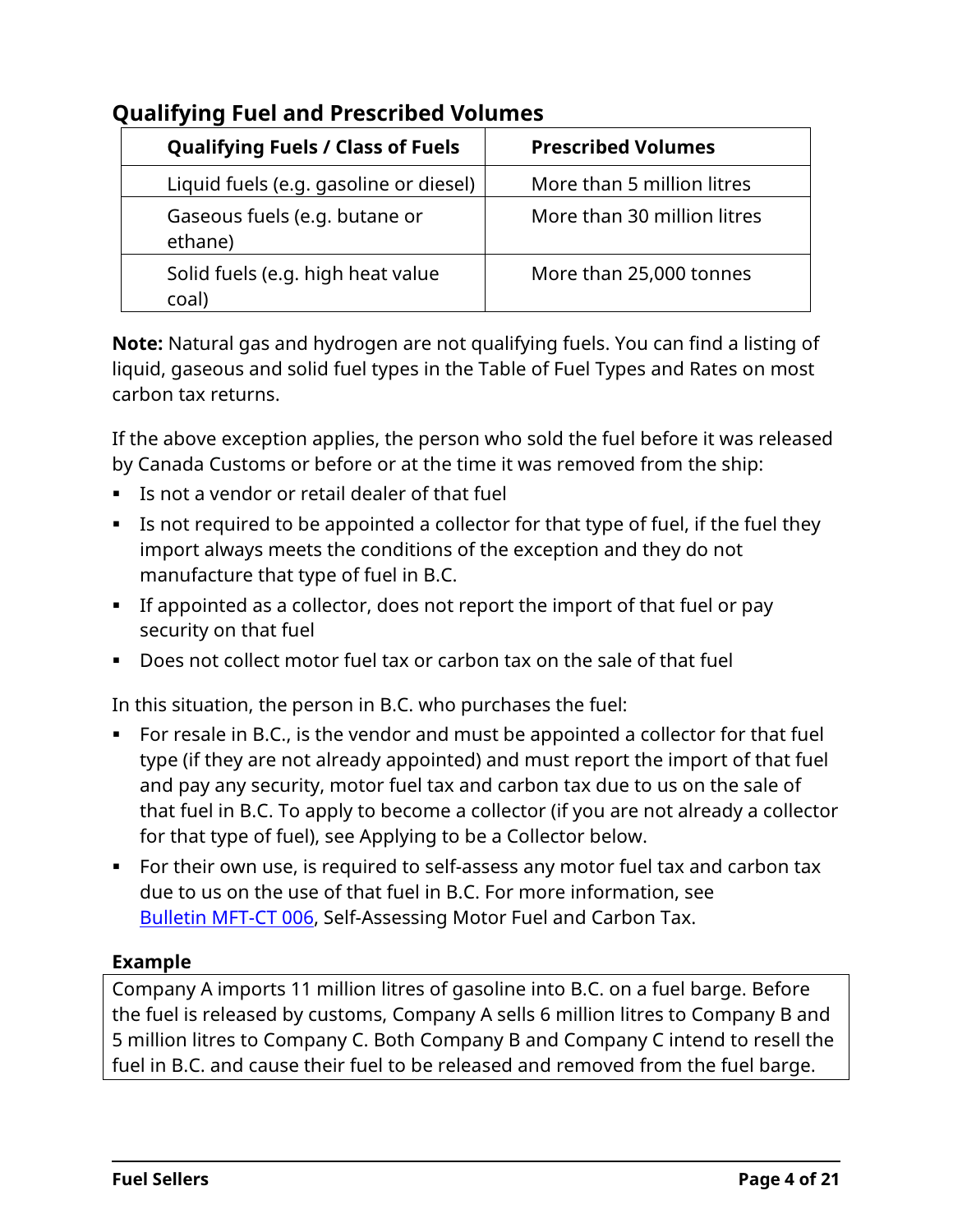| <b>Qualifying Fuels / Class of Fuels</b>   | <b>Prescribed Volumes</b>   |
|--------------------------------------------|-----------------------------|
| Liquid fuels (e.g. gasoline or diesel)     | More than 5 million litres  |
| Gaseous fuels (e.g. butane or<br>ethane)   | More than 30 million litres |
| Solid fuels (e.g. high heat value<br>coal) | More than 25,000 tonnes     |

#### **Qualifying Fuel and Prescribed Volumes**

**Note:** Natural gas and hydrogen are not qualifying fuels. You can find a listing of liquid, gaseous and solid fuel types in the Table of Fuel Types and Rates on most carbon tax returns.

If the above exception applies, the person who sold the fuel before it was released by Canada Customs or before or at the time it was removed from the ship:

- Is not a vendor or retail dealer of that fuel
- Is not required to be appointed a collector for that type of fuel, if the fuel they import always meets the conditions of the exception and they do not manufacture that type of fuel in B.C.
- If appointed as a collector, does not report the import of that fuel or pay security on that fuel
- Does not collect motor fuel tax or carbon tax on the sale of that fuel

In this situation, the person in B.C. who purchases the fuel:

- For resale in B.C., is the vendor and must be appointed a collector for that fuel type (if they are not already appointed) and must report the import of that fuel and pay any security, motor fuel tax and carbon tax due to us on the sale of that fuel in B.C. To apply to become a collector (if you are not already a collector for that type of fuel), see Applying to be a Collector below.
- For their own use, is required to self-assess any motor fuel tax and carbon tax due to us on the use of that fuel in B.C. For more information, see [Bulletin](http://www2.gov.bc.ca/assets/download/3AB2F2BF9FB544EA921107D2D21B5DD9) MFT-CT 006, Self-Assessing Motor Fuel and Carbon Tax.

#### **Example**

Company A imports 11 million litres of gasoline into B.C. on a fuel barge. Before the fuel is released by customs, Company A sells 6 million litres to Company B and 5 million litres to Company C. Both Company B and Company C intend to resell the fuel in B.C. and cause their fuel to be released and removed from the fuel barge.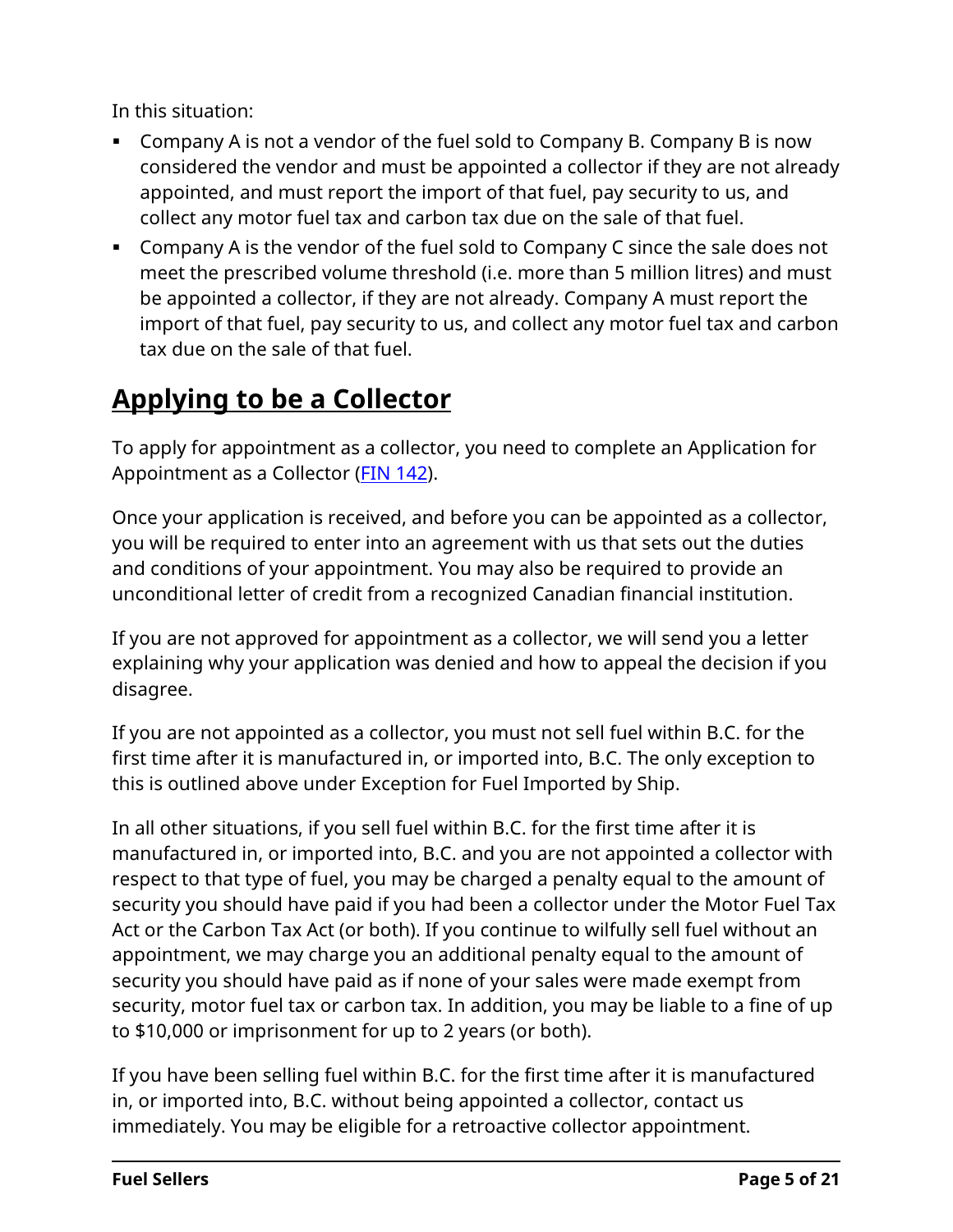In this situation:

- **Company A is not a vendor of the fuel sold to Company B. Company B is now** considered the vendor and must be appointed a collector if they are not already appointed, and must report the import of that fuel, pay security to us, and collect any motor fuel tax and carbon tax due on the sale of that fuel.
- Company A is the vendor of the fuel sold to Company C since the sale does not meet the prescribed volume threshold (i.e. more than 5 million litres) and must be appointed a collector, if they are not already. Company A must report the import of that fuel, pay security to us, and collect any motor fuel tax and carbon tax due on the sale of that fuel.

# <span id="page-4-0"></span>**Applying to be a Collector**

To apply for appointment as a collector, you need to complete an Application for Appointment as a Collector (FIN [142\)](http://www2.gov.bc.ca/assets/download/A868F5D956DC4BCDA2BFE4B6B28CFAE8).

Once your application is received, and before you can be appointed as a collector, you will be required to enter into an agreement with us that sets out the duties and conditions of your appointment. You may also be required to provide an unconditional letter of credit from a recognized Canadian financial institution.

If you are not approved for appointment as a collector, we will send you a letter explaining why your application was denied and how to appeal the decision if you disagree.

If you are not appointed as a collector, you must not sell fuel within B.C. for the first time after it is manufactured in, or imported into, B.C. The only exception to this is outlined above under Exception for Fuel Imported by Ship.

In all other situations, if you sell fuel within B.C. for the first time after it is manufactured in, or imported into, B.C. and you are not appointed a collector with respect to that type of fuel, you may be charged a penalty equal to the amount of security you should have paid if you had been a collector under the Motor Fuel Tax Act or the Carbon Tax Act (or both). If you continue to wilfully sell fuel without an appointment, we may charge you an additional penalty equal to the amount of security you should have paid as if none of your sales were made exempt from security, motor fuel tax or carbon tax. In addition, you may be liable to a fine of up to \$10,000 or imprisonment for up to 2 years (or both).

If you have been selling fuel within B.C. for the first time after it is manufactured in, or imported into, B.C. without being appointed a collector, contact us immediately. You may be eligible for a retroactive collector appointment.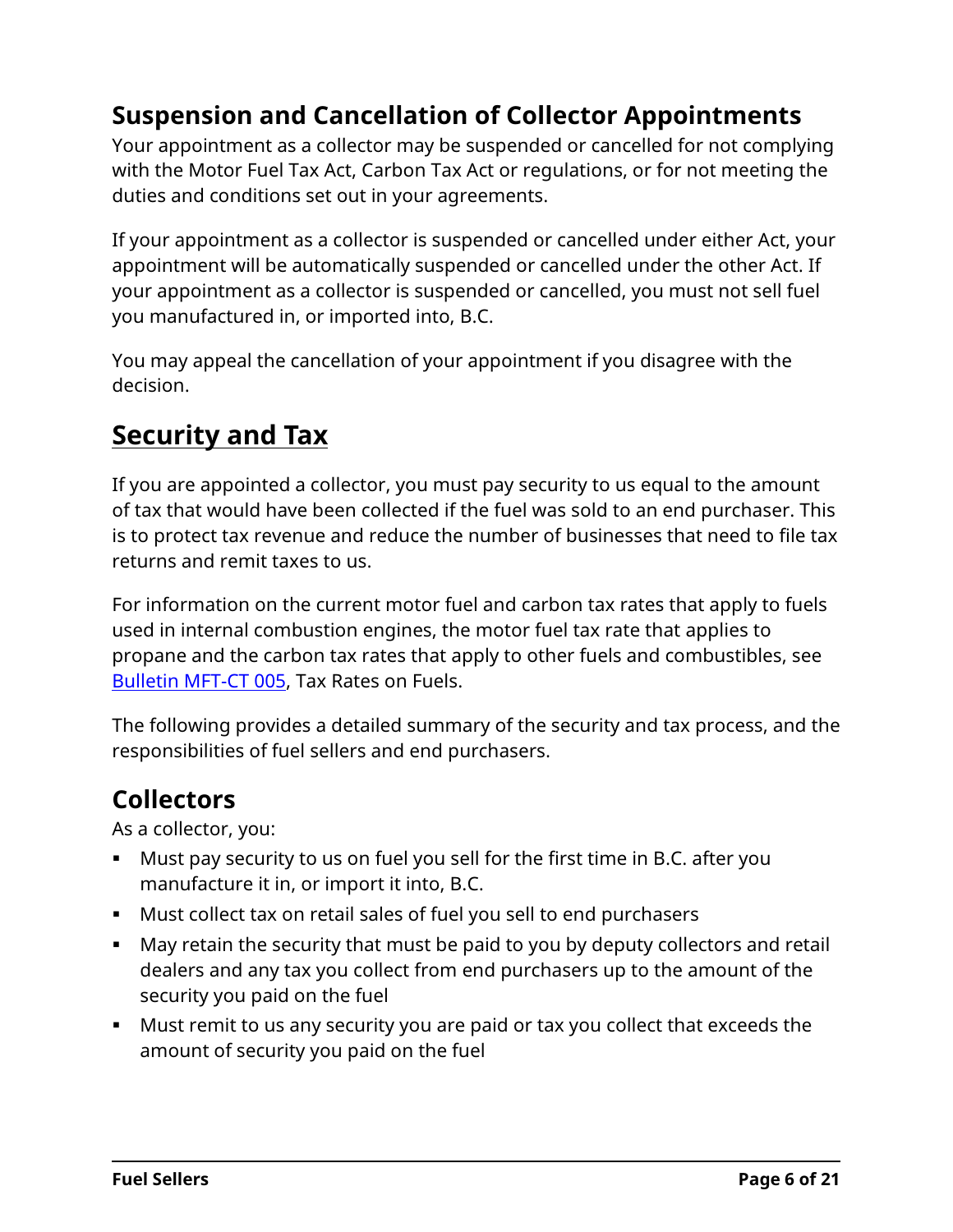# **Suspension and Cancellation of Collector Appointments**

Your appointment as a collector may be suspended or cancelled for not complying with the Motor Fuel Tax Act, Carbon Tax Act or regulations, or for not meeting the duties and conditions set out in your agreements.

If your appointment as a collector is suspended or cancelled under either Act, your appointment will be automatically suspended or cancelled under the other Act. If your appointment as a collector is suspended or cancelled, you must not sell fuel you manufactured in, or imported into, B.C.

You may appeal the cancellation of your appointment if you disagree with the decision.

# <span id="page-5-0"></span>**Security and Tax**

If you are appointed a collector, you must pay security to us equal to the amount of tax that would have been collected if the fuel was sold to an end purchaser. This is to protect tax revenue and reduce the number of businesses that need to file tax returns and remit taxes to us.

For information on the current motor fuel and carbon tax rates that apply to fuels used in internal combustion engines, the motor fuel tax rate that applies to propane and the carbon tax rates that apply to other fuels and combustibles, see [Bulletin](http://www2.gov.bc.ca/assets/download/F0C389126B1546C2BCB8432F24EA777F) MFT-CT 005, Tax Rates on Fuels.

The following provides a detailed summary of the security and tax process, and the responsibilities of fuel sellers and end purchasers.

#### **Collectors**

As a collector, you:

- Must pay security to us on fuel you sell for the first time in B.C. after you manufacture it in, or import it into, B.C.
- Must collect tax on retail sales of fuel you sell to end purchasers
- May retain the security that must be paid to you by deputy collectors and retail dealers and any tax you collect from end purchasers up to the amount of the security you paid on the fuel
- Must remit to us any security you are paid or tax you collect that exceeds the amount of security you paid on the fuel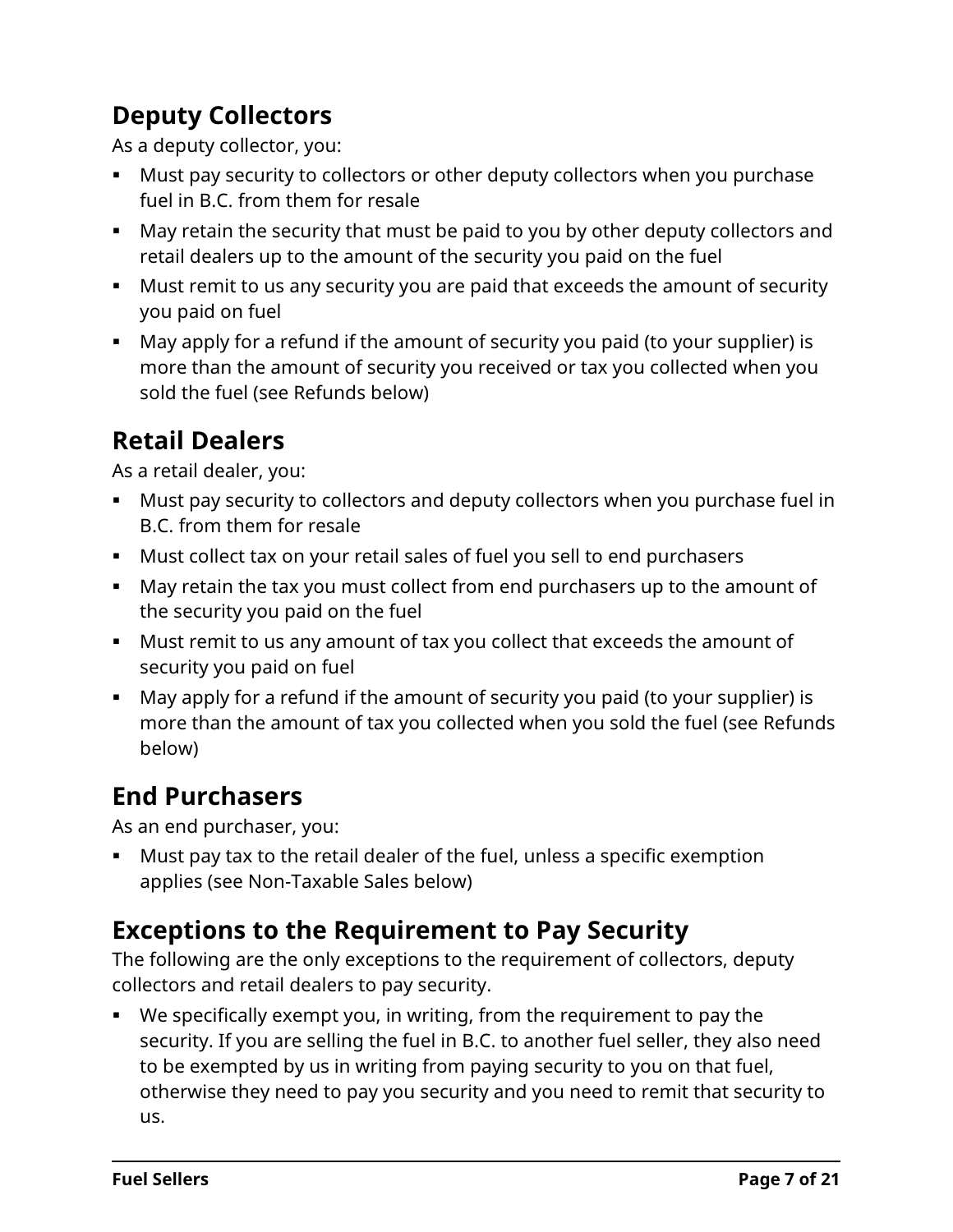# **Deputy Collectors**

As a deputy collector, you:

- Must pay security to collectors or other deputy collectors when you purchase fuel in B.C. from them for resale
- May retain the security that must be paid to you by other deputy collectors and retail dealers up to the amount of the security you paid on the fuel
- Must remit to us any security you are paid that exceeds the amount of security you paid on fuel
- May apply for a refund if the amount of security you paid (to your supplier) is more than the amount of security you received or tax you collected when you sold the fuel (see Refunds below)

# **Retail Dealers**

As a retail dealer, you:

- Must pay security to collectors and deputy collectors when you purchase fuel in B.C. from them for resale
- Must collect tax on your retail sales of fuel you sell to end purchasers
- May retain the tax you must collect from end purchasers up to the amount of the security you paid on the fuel
- Must remit to us any amount of tax you collect that exceeds the amount of security you paid on fuel
- May apply for a refund if the amount of security you paid (to your supplier) is more than the amount of tax you collected when you sold the fuel (see Refunds below)

### **End Purchasers**

As an end purchaser, you:

 Must pay tax to the retail dealer of the fuel, unless a specific exemption applies (see Non-Taxable Sales below)

# **Exceptions to the Requirement to Pay Security**

The following are the only exceptions to the requirement of collectors, deputy collectors and retail dealers to pay security.

 We specifically exempt you, in writing, from the requirement to pay the security. If you are selling the fuel in B.C. to another fuel seller, they also need to be exempted by us in writing from paying security to you on that fuel, otherwise they need to pay you security and you need to remit that security to us.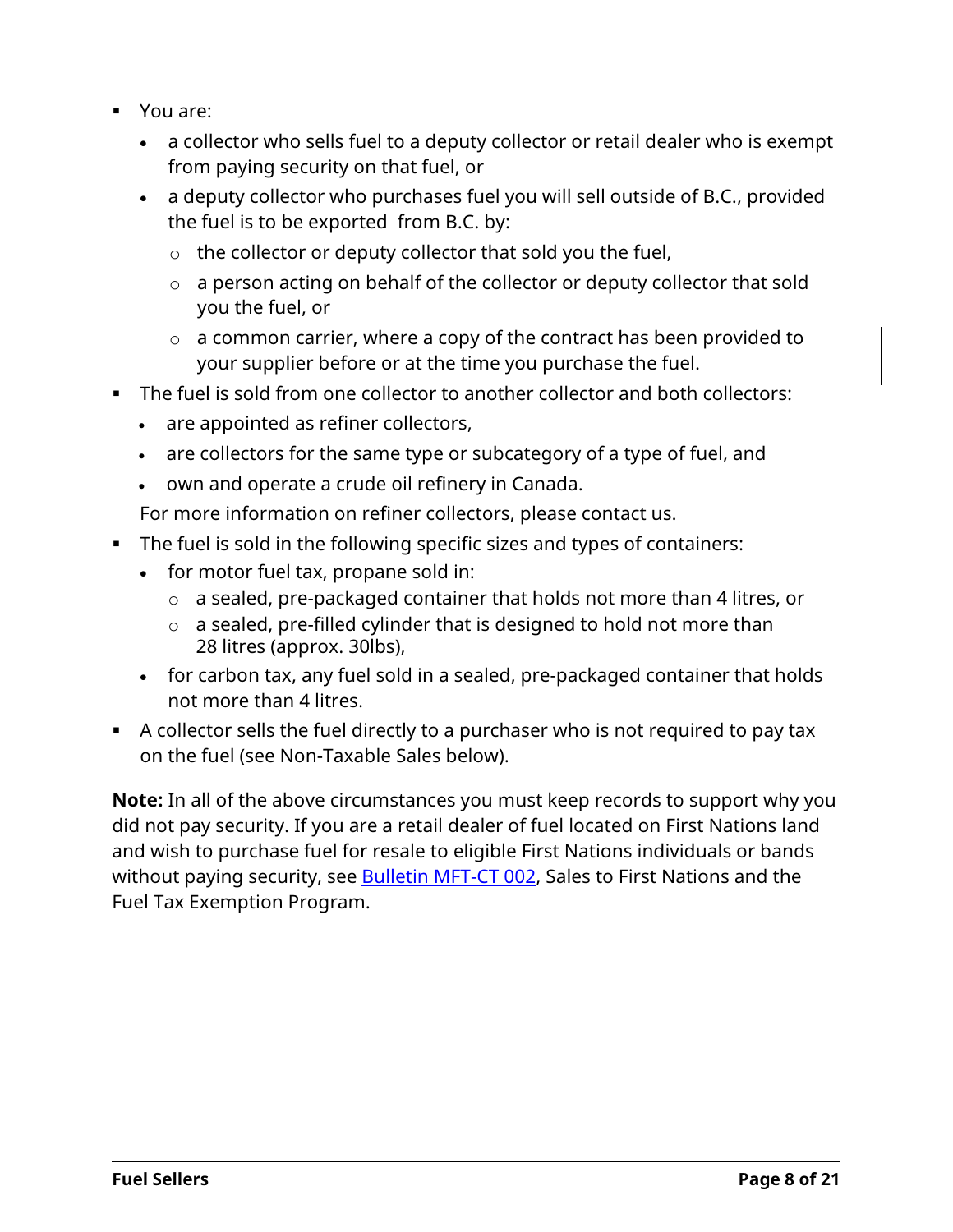- You are:
	- a collector who sells fuel to a deputy collector or retail dealer who is exempt from paying security on that fuel, or
	- a deputy collector who purchases fuel you will sell outside of B.C., provided the fuel is to be exported from B.C. by:
		- $\circ$  the collector or deputy collector that sold you the fuel,
		- o a person acting on behalf of the collector or deputy collector that sold you the fuel, or
		- $\circ$  a common carrier, where a copy of the contract has been provided to your supplier before or at the time you purchase the fuel.
- The fuel is sold from one collector to another collector and both collectors:
	- are appointed as refiner collectors,
	- are collectors for the same type or subcategory of a type of fuel, and
	- own and operate a crude oil refinery in Canada.

For more information on refiner collectors, please contact us.

- The fuel is sold in the following specific sizes and types of containers:
	- for motor fuel tax, propane sold in:
		- o a sealed, pre-packaged container that holds not more than 4 litres, or
		- $\circ$  a sealed, pre-filled cylinder that is designed to hold not more than 28 litres (approx. 30lbs),
	- for carbon tax, any fuel sold in a sealed, pre-packaged container that holds not more than 4 litres.
- A collector sells the fuel directly to a purchaser who is not required to pay tax on the fuel (see Non-Taxable Sales below).

**Note:** In all of the above circumstances you must keep records to support why you did not pay security. If you are a retail dealer of fuel located on First Nations land and wish to purchase fuel for resale to eligible First Nations individuals or bands without paying security, see **Bulletin MFT-CT 002, Sales to First Nations and the** Fuel Tax Exemption Program.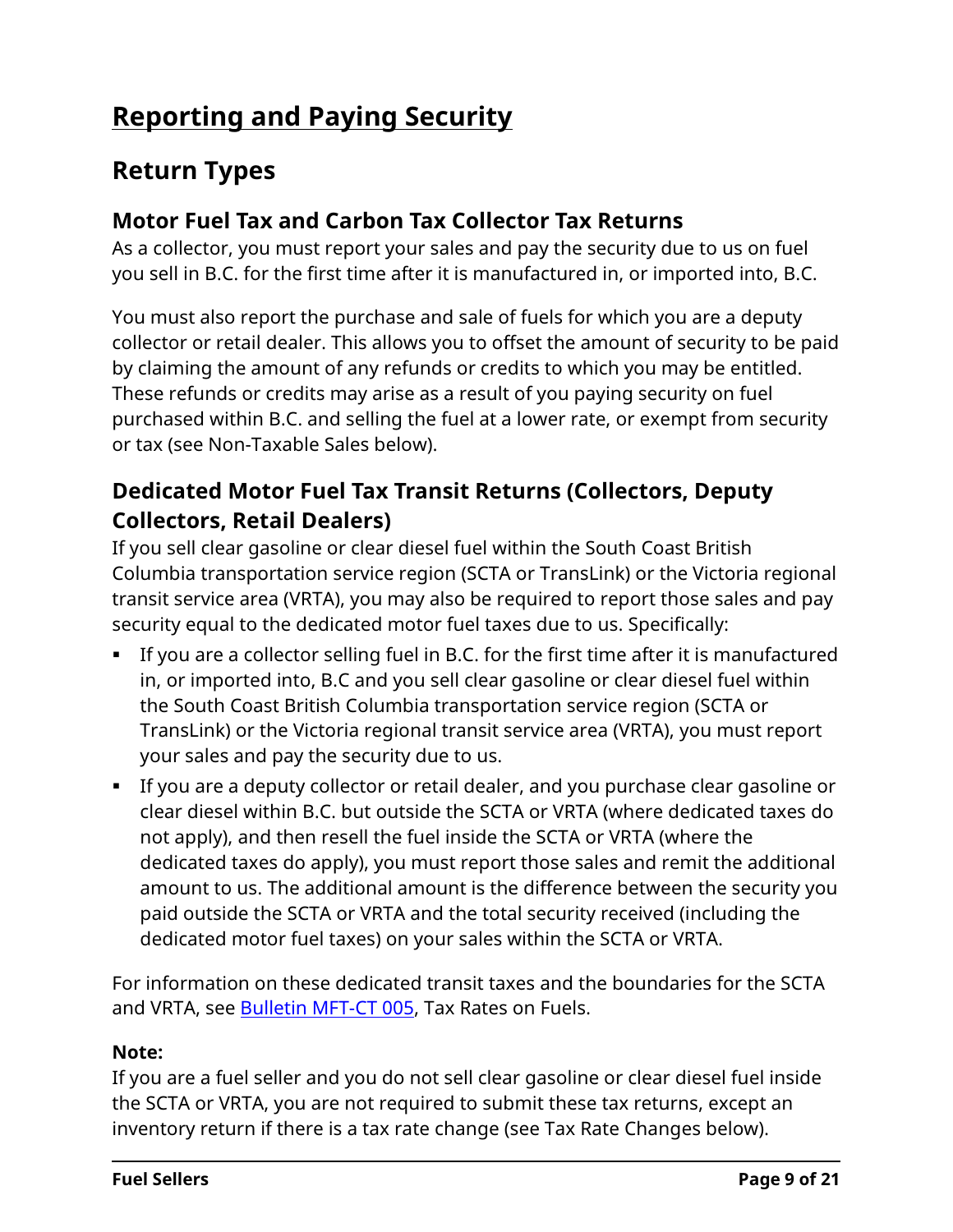# <span id="page-8-0"></span>**Reporting and Paying Security**

### **Return Types**

#### **Motor Fuel Tax and Carbon Tax Collector Tax Returns**

As a collector, you must report your sales and pay the security due to us on fuel you sell in B.C. for the first time after it is manufactured in, or imported into, B.C.

You must also report the purchase and sale of fuels for which you are a deputy collector or retail dealer. This allows you to offset the amount of security to be paid by claiming the amount of any refunds or credits to which you may be entitled. These refunds or credits may arise as a result of you paying security on fuel purchased within B.C. and selling the fuel at a lower rate, or exempt from security or tax (see Non-Taxable Sales below).

#### **Dedicated Motor Fuel Tax Transit Returns (Collectors, Deputy Collectors, Retail Dealers)**

If you sell clear gasoline or clear diesel fuel within the South Coast British Columbia transportation service region (SCTA or TransLink) or the Victoria regional transit service area (VRTA), you may also be required to report those sales and pay security equal to the dedicated motor fuel taxes due to us. Specifically:

- If you are a collector selling fuel in B.C. for the first time after it is manufactured in, or imported into, B.C and you sell clear gasoline or clear diesel fuel within the South Coast British Columbia transportation service region (SCTA or TransLink) or the Victoria regional transit service area (VRTA), you must report your sales and pay the security due to us.
- If you are a deputy collector or retail dealer, and you purchase clear gasoline or clear diesel within B.C. but outside the SCTA or VRTA (where dedicated taxes do not apply), and then resell the fuel inside the SCTA or VRTA (where the dedicated taxes do apply), you must report those sales and remit the additional amount to us. The additional amount is the difference between the security you paid outside the SCTA or VRTA and the total security received (including the dedicated motor fuel taxes) on your sales within the SCTA or VRTA.

For information on these dedicated transit taxes and the boundaries for the SCTA and VRTA, see **Bulletin MFT-CT 005**, Tax Rates on Fuels.

#### **Note:**

If you are a fuel seller and you do not sell clear gasoline or clear diesel fuel inside the SCTA or VRTA, you are not required to submit these tax returns, except an inventory return if there is a tax rate change (see Tax Rate Changes below).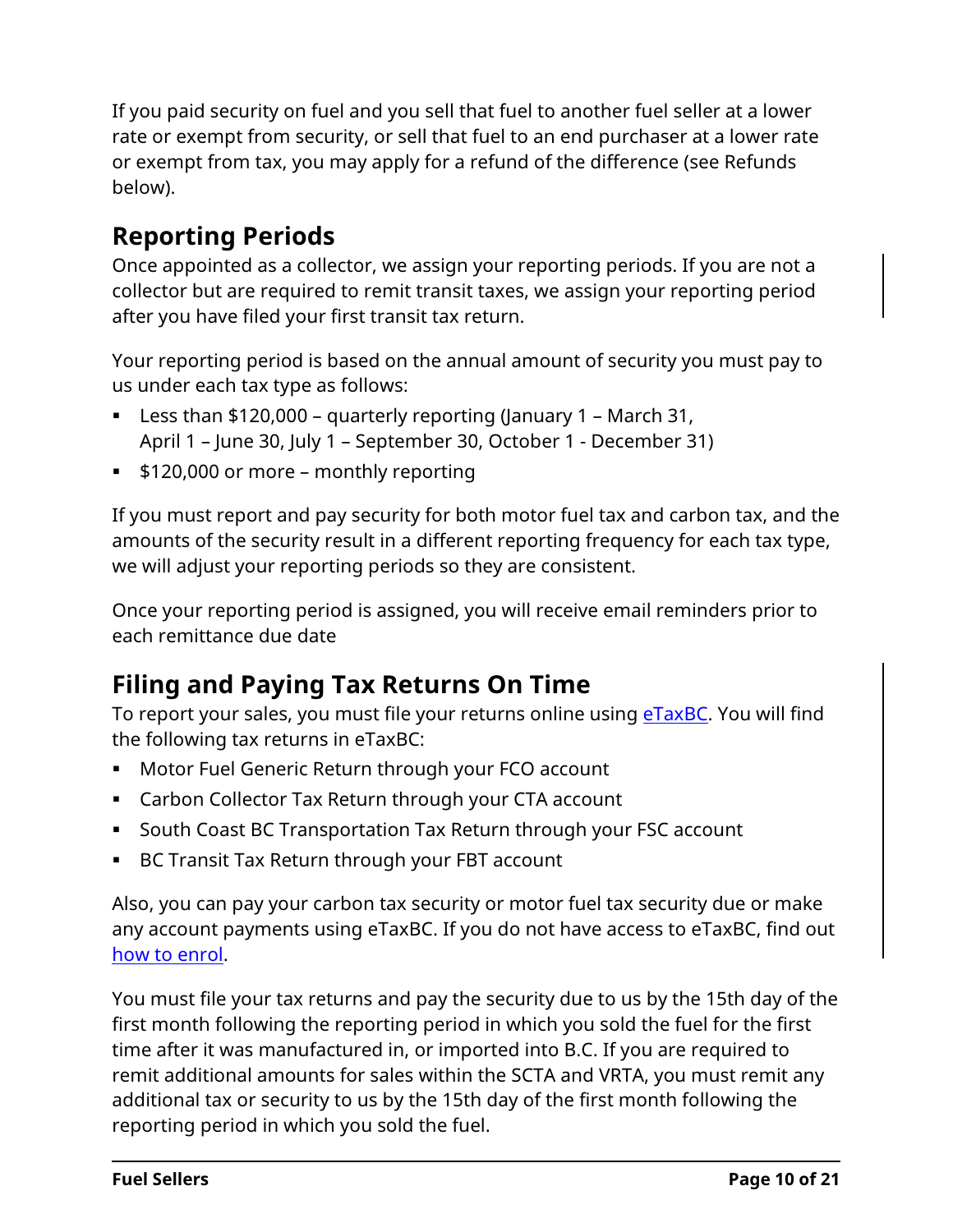If you paid security on fuel and you sell that fuel to another fuel seller at a lower rate or exempt from security, or sell that fuel to an end purchaser at a lower rate or exempt from tax, you may apply for a refund of the difference (see Refunds below).

# **Reporting Periods**

Once appointed as a collector, we assign your reporting periods. If you are not a collector but are required to remit transit taxes, we assign your reporting period after you have filed your first transit tax return.

Your reporting period is based on the annual amount of security you must pay to us under each tax type as follows:

- Less than \$120,000 quarterly reporting (January 1 March 31, April 1 – June 30, July 1 – September 30, October 1 - December 31)
- **\$120,000 or more monthly reporting**

If you must report and pay security for both motor fuel tax and carbon tax, and the amounts of the security result in a different reporting frequency for each tax type, we will adjust your reporting periods so they are consistent.

Once your reporting period is assigned, you will receive email reminders prior to each remittance due date

# **Filing and Paying Tax Returns On Time**

To report your sales, you must file your returns online using **eTaxBC**. You will find the following tax returns in eTaxBC:

- Motor Fuel Generic Return through your FCO account
- Carbon Collector Tax Return through your CTA account
- South Coast BC Transportation Tax Return through your FSC account
- BC Transit Tax Return through your FBT account

Also, you can pay your carbon tax security or motor fuel tax security due or make any account payments using eTaxBC. If you do not have access to eTaxBC, find out [how to enrol.](https://www2.gov.bc.ca/gov/content?id=E437125AC6444B869C94353D1C17FFA3)

You must file your tax returns and pay the security due to us by the 15th day of the first month following the reporting period in which you sold the fuel for the first time after it was manufactured in, or imported into B.C. If you are required to remit additional amounts for sales within the SCTA and VRTA, you must remit any additional tax or security to us by the 15th day of the first month following the reporting period in which you sold the fuel.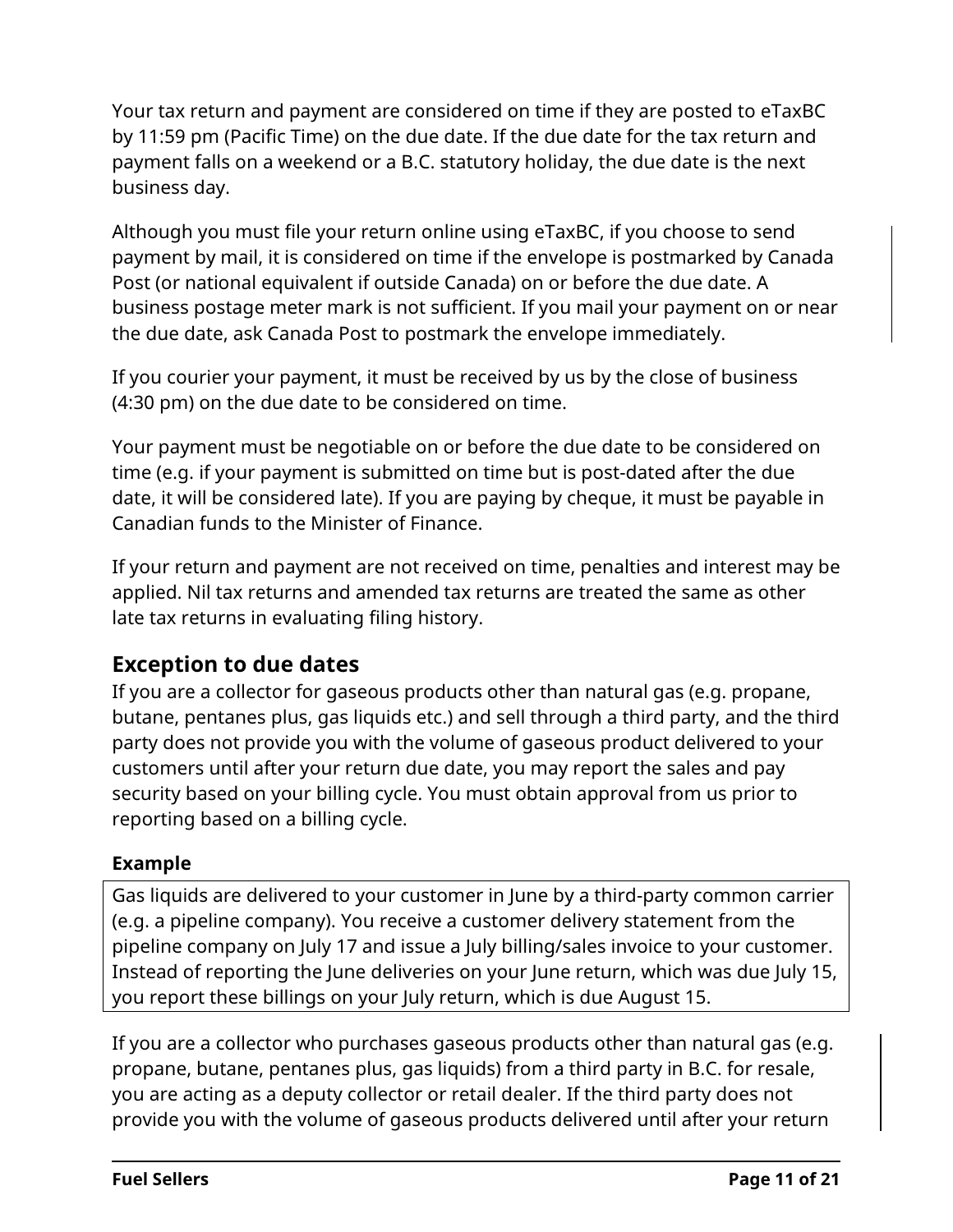Your tax return and payment are considered on time if they are posted to eTaxBC by 11:59 pm (Pacific Time) on the due date. If the due date for the tax return and payment falls on a weekend or a B.C. statutory holiday, the due date is the next business day.

Although you must file your return online using eTaxBC, if you choose to send payment by mail, it is considered on time if the envelope is postmarked by Canada Post (or national equivalent if outside Canada) on or before the due date. A business postage meter mark is not sufficient. If you mail your payment on or near the due date, ask Canada Post to postmark the envelope immediately.

If you courier your payment, it must be received by us by the close of business (4:30 pm) on the due date to be considered on time.

Your payment must be negotiable on or before the due date to be considered on time (e.g. if your payment is submitted on time but is post-dated after the due date, it will be considered late). If you are paying by cheque, it must be payable in Canadian funds to the Minister of Finance.

If your return and payment are not received on time, penalties and interest may be applied. Nil tax returns and amended tax returns are treated the same as other late tax returns in evaluating filing history.

#### **Exception to due dates**

If you are a collector for gaseous products other than natural gas (e.g. propane, butane, pentanes plus, gas liquids etc.) and sell through a third party, and the third party does not provide you with the volume of gaseous product delivered to your customers until after your return due date, you may report the sales and pay security based on your billing cycle. You must obtain approval from us prior to reporting based on a billing cycle.

#### **Example**

Gas liquids are delivered to your customer in June by a third-party common carrier (e.g. a pipeline company). You receive a customer delivery statement from the pipeline company on July 17 and issue a July billing/sales invoice to your customer. Instead of reporting the June deliveries on your June return, which was due July 15, you report these billings on your July return, which is due August 15.

If you are a collector who purchases gaseous products other than natural gas (e.g. propane, butane, pentanes plus, gas liquids) from a third party in B.C. for resale, you are acting as a deputy collector or retail dealer. If the third party does not provide you with the volume of gaseous products delivered until after your return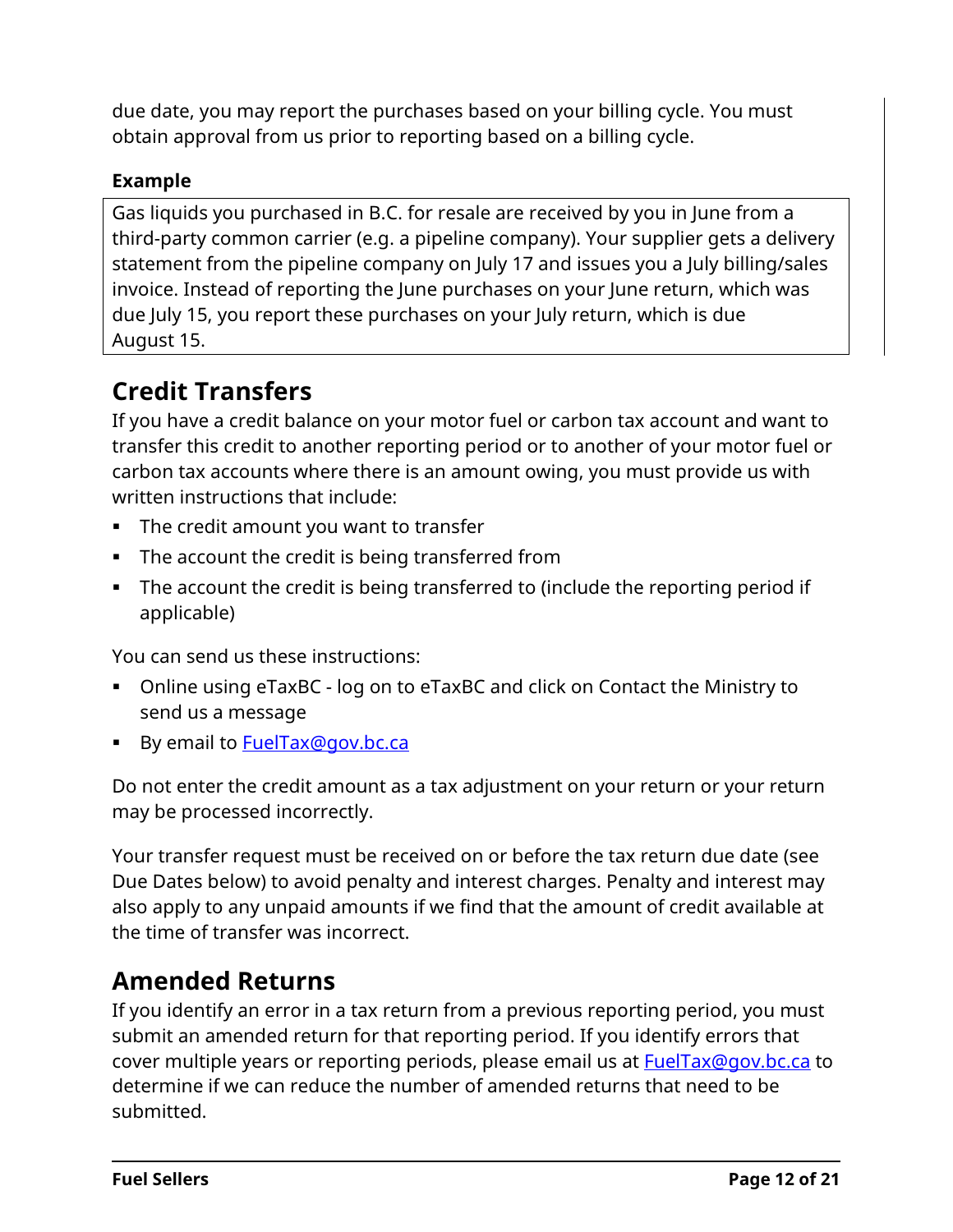due date, you may report the purchases based on your billing cycle. You must obtain approval from us prior to reporting based on a billing cycle.

#### **Example**

Gas liquids you purchased in B.C. for resale are received by you in June from a third-party common carrier (e.g. a pipeline company). Your supplier gets a delivery statement from the pipeline company on July 17 and issues you a July billing/sales invoice. Instead of reporting the June purchases on your June return, which was due July 15, you report these purchases on your July return, which is due August 15.

# **Credit Transfers**

If you have a credit balance on your motor fuel or carbon tax account and want to transfer this credit to another reporting period or to another of your motor fuel or carbon tax accounts where there is an amount owing, you must provide us with written instructions that include:

- The credit amount you want to transfer
- **The account the credit is being transferred from**
- The account the credit is being transferred to (include the reporting period if applicable)

You can send us these instructions:

- Online using [eTaxBC](http://www.gov.bc.ca/etaxbc/logon) log on to eTaxBC and click on Contact the Ministry to send us a message
- By email to **FuelTax@gov.bc.ca**

Do not enter the credit amount as a tax adjustment on your return or your return may be processed incorrectly.

Your transfer request must be received on or before the tax return due date (see Due Dates below) to avoid penalty and interest charges. Penalty and interest may also apply to any unpaid amounts if we find that the amount of credit available at the time of transfer was incorrect.

# **Amended Returns**

If you identify an error in a tax return from a previous reporting period, you must submit an amended return for that reporting period. If you identify errors that cover multiple years or reporting periods, please email us at [FuelTax@gov.bc.ca](mailto:FuelTax@gov.bc.ca) to determine if we can reduce the number of amended returns that need to be submitted.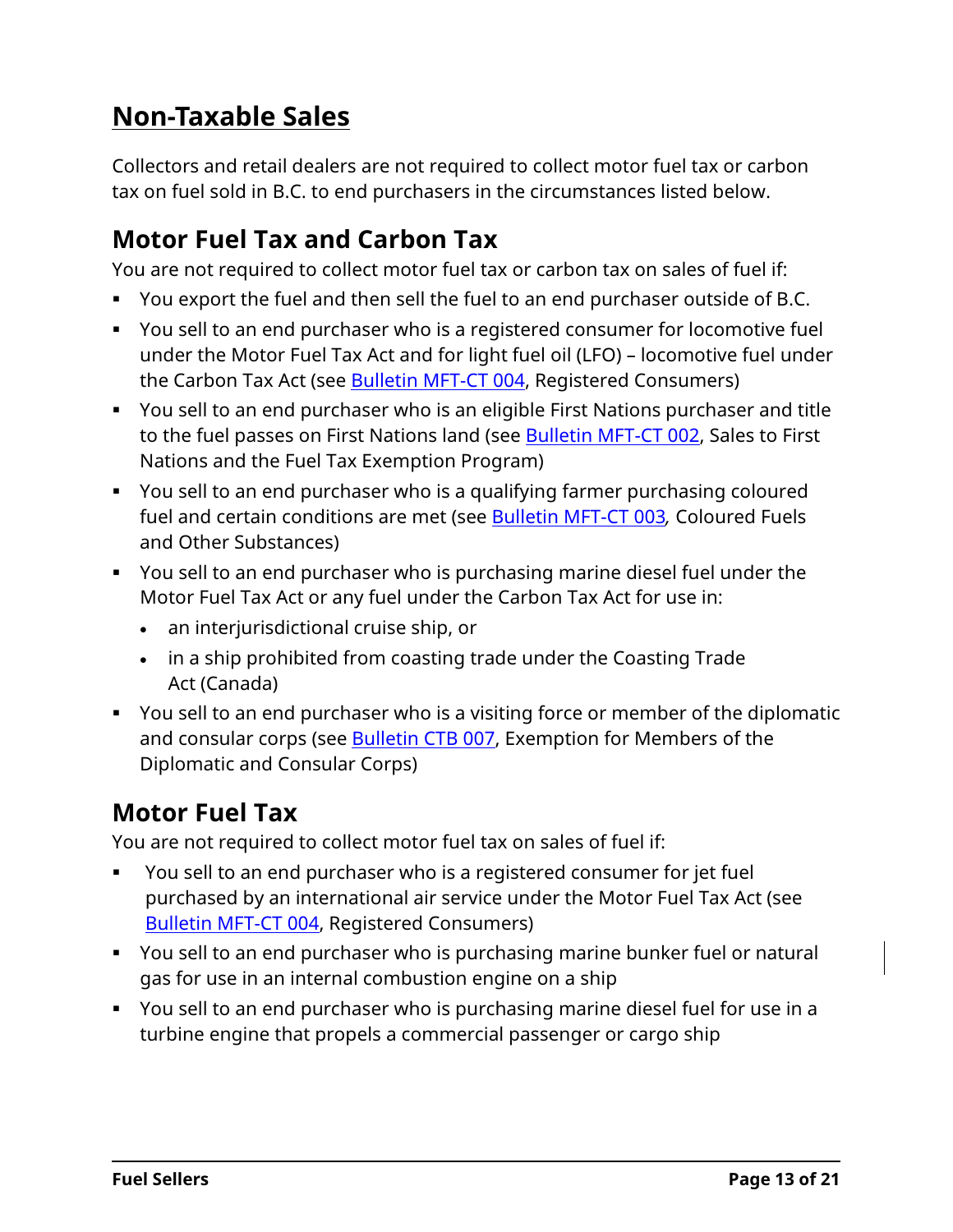# <span id="page-12-0"></span>**Non-Taxable Sales**

Collectors and retail dealers are not required to collect motor fuel tax or carbon tax on fuel sold in B.C. to end purchasers in the circumstances listed below.

# **Motor Fuel Tax and Carbon Tax**

You are not required to collect motor fuel tax or carbon tax on sales of fuel if:

- You export the fuel and then sell the fuel to an end purchaser outside of B.C.
- You sell to an end purchaser who is a registered consumer for locomotive fuel under the Motor Fuel Tax Act and for light fuel oil (LFO) – locomotive fuel under the Carbon Tax Act (see [Bulletin](http://www2.gov.bc.ca/assets/download/2BBDA93AE70842D698E8335E38708C85) MFT-CT 004, Registered Consumers)
- You sell to an end purchaser who is an eligible First Nations purchaser and title to the fuel passes on First Nations land (see [Bulletin](http://www2.gov.bc.ca/assets/download/667B00D8BC8B4623B62B0F3AC071AF99) MFT-CT 002, Sales to First Nations and the Fuel Tax Exemption Program)
- You sell to an end purchaser who is a qualifying farmer purchasing coloured fuel and certain conditions are met (see [Bulletin](http://www2.gov.bc.ca/assets/download/CA9757C7DE7A4984A254EA92DED663F2) MFT-CT 003*,* Coloured Fuels and Other Substances)
- You sell to an end purchaser who is purchasing marine diesel fuel under the Motor Fuel Tax Act or any fuel under the Carbon Tax Act for use in:
	- an interjurisdictional cruise ship, or
	- in a ship prohibited from coasting trade under the Coasting Trade Act (Canada)
- You sell to an end purchaser who is a visiting force or member of the diplomatic and consular corps (see **Bulletin CTB 007**, Exemption for Members of the Diplomatic and Consular Corps)

# **Motor Fuel Tax**

You are not required to collect motor fuel tax on sales of fuel if:

- You sell to an end purchaser who is a registered consumer for jet fuel purchased by an international air service under the Motor Fuel Tax Act (see [Bulletin](http://www2.gov.bc.ca/assets/download/2BBDA93AE70842D698E8335E38708C85) MFT-CT 004, Registered Consumers)
- You sell to an end purchaser who is purchasing marine bunker fuel or natural gas for use in an internal combustion engine on a ship
- You sell to an end purchaser who is purchasing marine diesel fuel for use in a turbine engine that propels a commercial passenger or cargo ship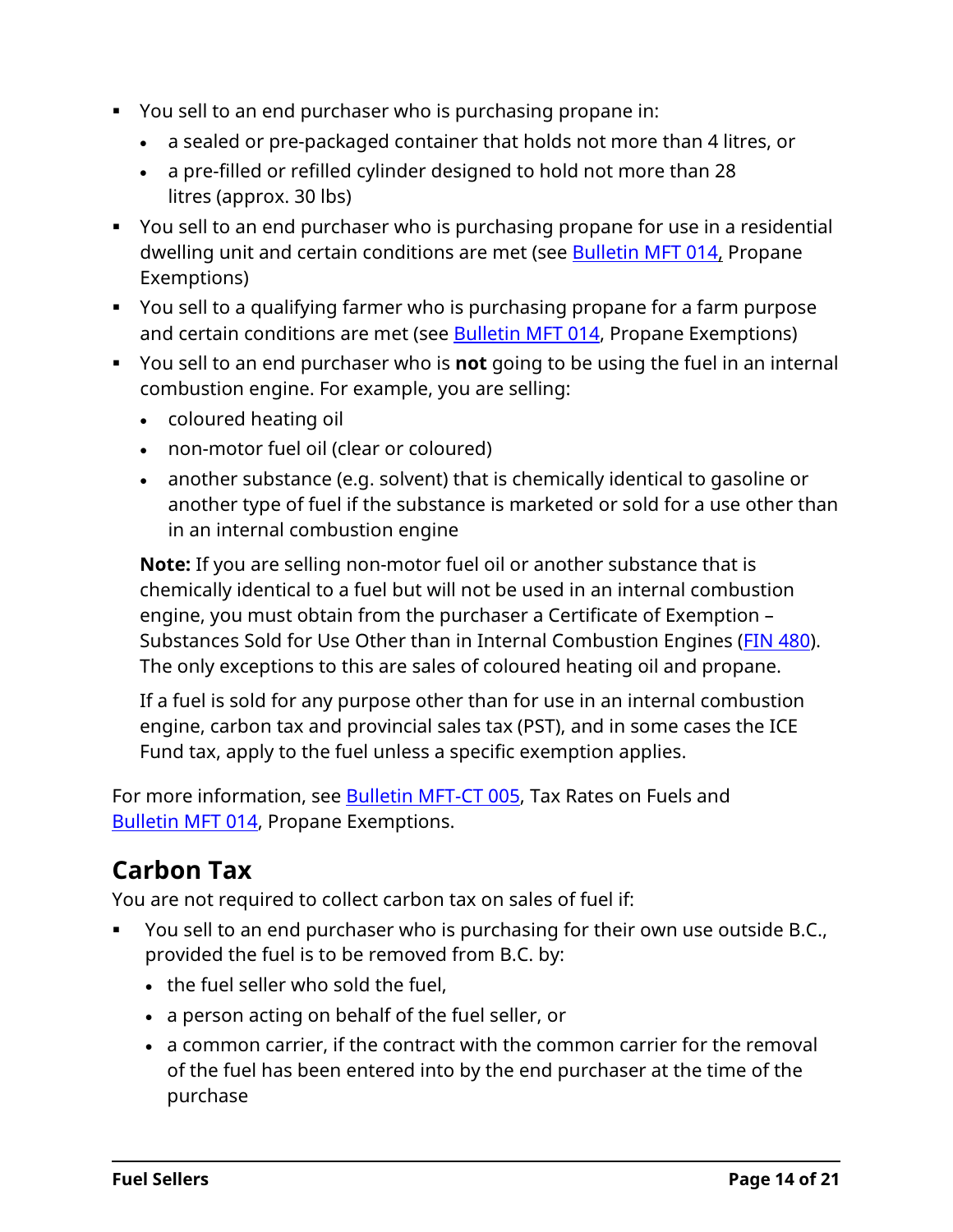- You sell to an end purchaser who is purchasing propane in:
	- a sealed or pre-packaged container that holds not more than 4 litres, or
	- a pre-filled or refilled cylinder designed to hold not more than 28 litres (approx. 30 lbs)
- You sell to an end purchaser who is purchasing propane for use in a residential dwelling unit and certain conditions are met (see **Bulletin MFT 014**, Propane Exemptions)
- You sell to a qualifying farmer who is purchasing propane for a farm purpose and certain conditions are met (see **Bulletin MFT 014**, Propane Exemptions)
- You sell to an end purchaser who is **not** going to be using the fuel in an internal combustion engine. For example, you are selling:
	- coloured heating oil
	- non-motor fuel oil (clear or coloured)
	- another substance (e.g. solvent) that is chemically identical to gasoline or another type of fuel if the substance is marketed or sold for a use other than in an internal combustion engine

**Note:** If you are selling non-motor fuel oil or another substance that is chemically identical to a fuel but will not be used in an internal combustion engine, you must obtain from the purchaser a Certificate of Exemption – Substances Sold for Use Other than in Internal Combustion Engines (FIN [480\)](http://www2.gov.bc.ca/assets/download/7ED86D49D7344B179DA15A2005CDD0A9). The only exceptions to this are sales of coloured heating oil and propane.

If a fuel is sold for any purpose other than for use in an internal combustion engine, carbon tax and provincial sales tax (PST), and in some cases the ICE Fund tax, apply to the fuel unless a specific exemption applies.

For more information, see [Bulletin](http://www2.gov.bc.ca/assets/download/F0C389126B1546C2BCB8432F24EA777F) MFT-CT 005, Tax Rates on Fuels and [Bulletin](http://www2.gov.bc.ca/assets/download/7825E03E42704AD980C37A93F7870424) MFT 014, Propane Exemptions.

# **Carbon Tax**

You are not required to collect carbon tax on sales of fuel if:

- You sell to an end purchaser who is purchasing for their own use outside B.C., provided the fuel is to be removed from B.C. by:
	- the fuel seller who sold the fuel,
	- a person acting on behalf of the fuel seller, or
	- a common carrier, if the contract with the common carrier for the removal of the fuel has been entered into by the end purchaser at the time of the purchase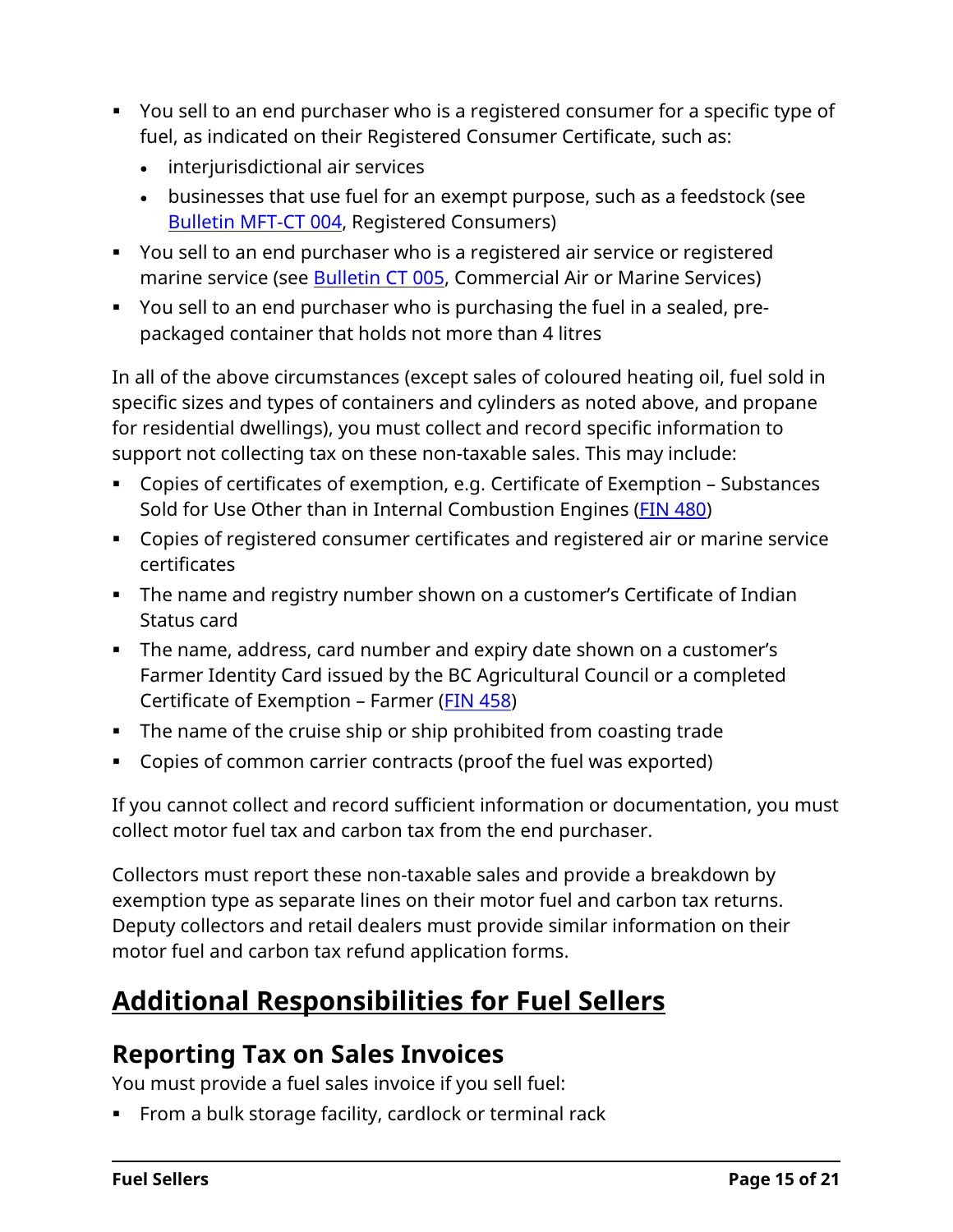- You sell to an end purchaser who is a registered consumer for a specific type of fuel, as indicated on their Registered Consumer Certificate, such as:
	- interjurisdictional air services
	- businesses that use fuel for an exempt purpose, such as a feedstock (see [Bulletin](http://www2.gov.bc.ca/assets/download/2BBDA93AE70842D698E8335E38708C85) MFT-CT 004, Registered Consumers)
- You sell to an end purchaser who is a registered air service or registered marine service (see **Bulletin CT 005, Commercial Air or Marine Services**)
- You sell to an end purchaser who is purchasing the fuel in a sealed, prepackaged container that holds not more than 4 litres

In all of the above circumstances (except sales of coloured heating oil, fuel sold in specific sizes and types of containers and cylinders as noted above, and propane for residential dwellings), you must collect and record specific information to support not collecting tax on these non-taxable sales. This may include:

- Copies of certificates of exemption, e.g. Certificate of Exemption Substances Sold for Use Other than in Internal Combustion Engines (FIN [480\)](http://www2.gov.bc.ca/assets/download/7ED86D49D7344B179DA15A2005CDD0A9)
- Copies of registered consumer certificates and registered air or marine service certificates
- **The name and registry number shown on a customer's Certificate of Indian** Status card
- The name, address, card number and expiry date shown on a customer's Farmer Identity Card issued by the BC Agricultural Council or a completed Certificate of Exemption – Farmer (FIN [458\)](http://www2.gov.bc.ca/assets/download/2F0FD09F39E14B8A9A7856EAE491F55A)
- The name of the cruise ship or ship prohibited from coasting trade
- Copies of common carrier contracts (proof the fuel was exported)

If you cannot collect and record sufficient information or documentation, you must collect motor fuel tax and carbon tax from the end purchaser.

Collectors must report these non-taxable sales and provide a breakdown by exemption type as separate lines on their motor fuel and carbon tax returns. Deputy collectors and retail dealers must provide similar information on their motor fuel and carbon tax refund application forms.

# <span id="page-14-0"></span>**Additional Responsibilities for Fuel Sellers**

### **Reporting Tax on Sales Invoices**

You must provide a fuel sales invoice if you sell fuel:

**From a bulk storage facility, cardlock or terminal rack**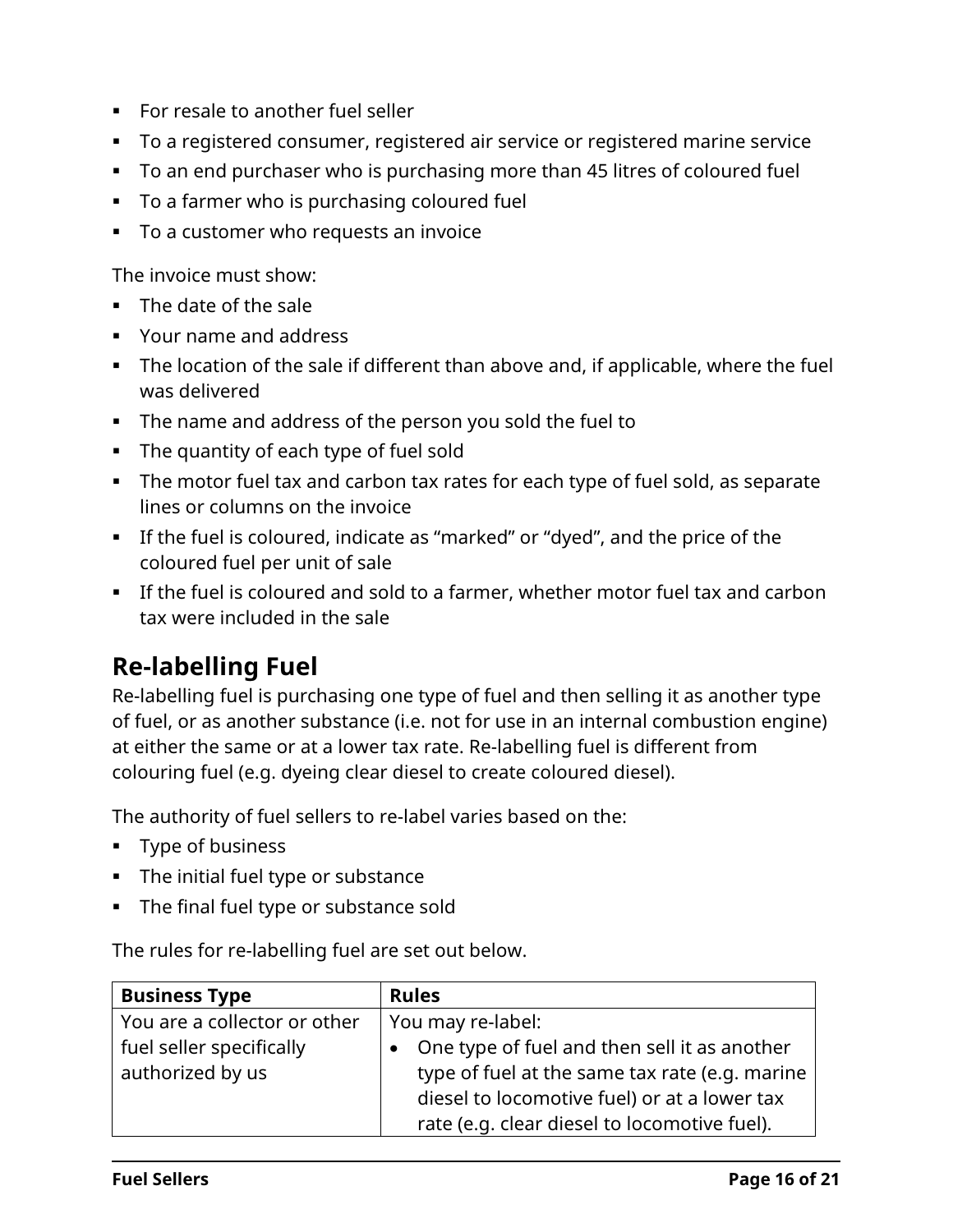- **For resale to another fuel seller**
- To a registered consumer, registered air service or registered marine service
- To an end purchaser who is purchasing more than 45 litres of coloured fuel
- To a farmer who is purchasing coloured fuel
- To a customer who requests an invoice

The invoice must show:

- **The date of the sale**
- Your name and address
- The location of the sale if different than above and, if applicable, where the fuel was delivered
- The name and address of the person you sold the fuel to
- The quantity of each type of fuel sold
- The motor fuel tax and carbon tax rates for each type of fuel sold, as separate lines or columns on the invoice
- If the fuel is coloured, indicate as "marked" or "dyed", and the price of the coloured fuel per unit of sale
- If the fuel is coloured and sold to a farmer, whether motor fuel tax and carbon tax were included in the sale

# **Re-labelling Fuel**

Re-labelling fuel is purchasing one type of fuel and then selling it as another type of fuel, or as another substance (i.e. not for use in an internal combustion engine) at either the same or at a lower tax rate. Re-labelling fuel is different from colouring fuel (e.g. dyeing clear diesel to create coloured diesel).

The authority of fuel sellers to re-label varies based on the:

- **Type of business**
- **The initial fuel type or substance**
- **The final fuel type or substance sold**

The rules for re-labelling fuel are set out below.

| <b>Business Type</b>         | <b>Rules</b>                                   |  |
|------------------------------|------------------------------------------------|--|
| You are a collector or other | You may re-label:                              |  |
| fuel seller specifically     | • One type of fuel and then sell it as another |  |
| authorized by us             | type of fuel at the same tax rate (e.g. marine |  |
|                              | diesel to locomotive fuel) or at a lower tax   |  |
|                              | rate (e.g. clear diesel to locomotive fuel).   |  |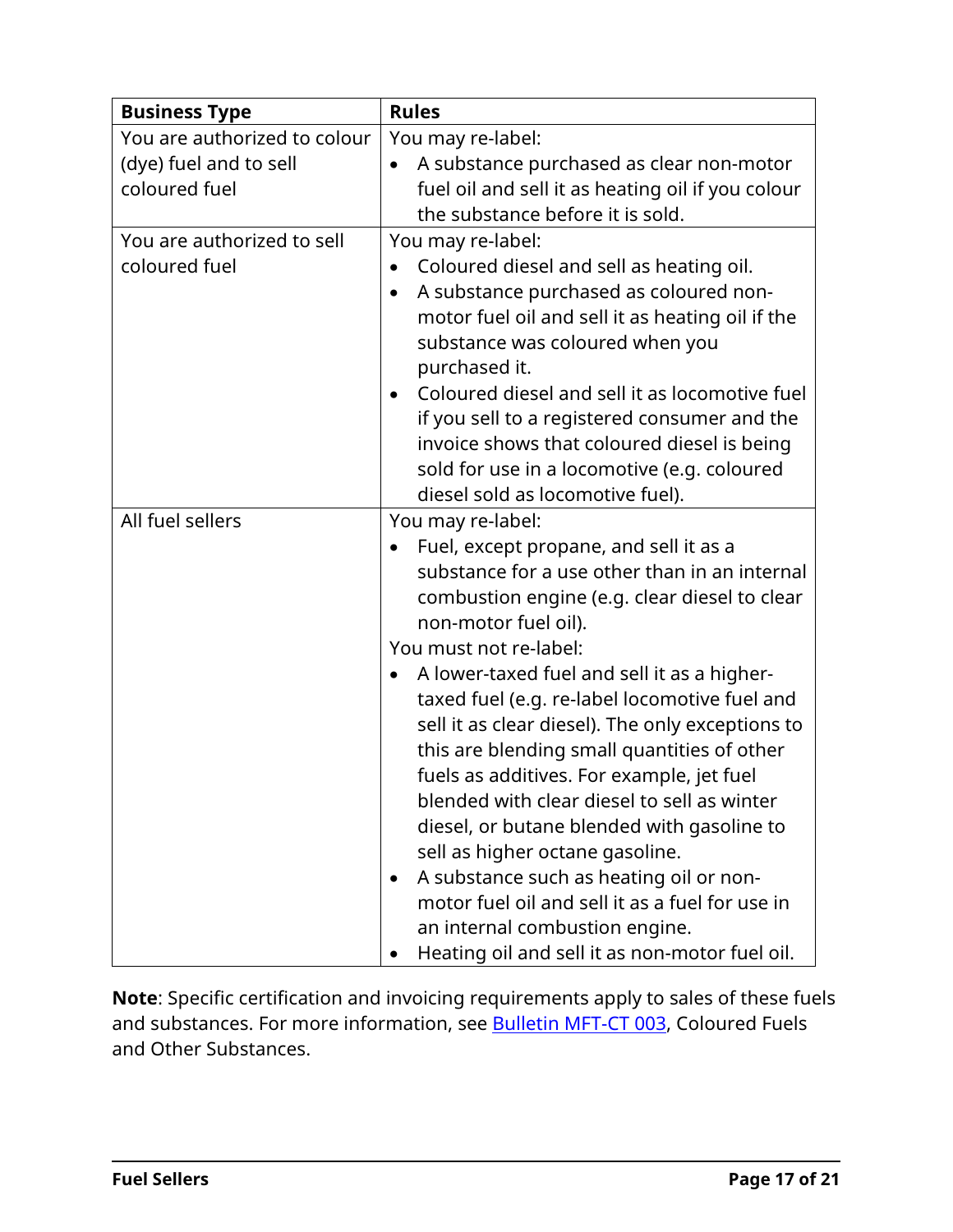| <b>Business Type</b>                                                    | <b>Rules</b>                                                                                                                                                                                                                                                                                                                                                                                                                                                                                                                                                                                                                                                                                                                                                                                   |
|-------------------------------------------------------------------------|------------------------------------------------------------------------------------------------------------------------------------------------------------------------------------------------------------------------------------------------------------------------------------------------------------------------------------------------------------------------------------------------------------------------------------------------------------------------------------------------------------------------------------------------------------------------------------------------------------------------------------------------------------------------------------------------------------------------------------------------------------------------------------------------|
| You are authorized to colour<br>(dye) fuel and to sell<br>coloured fuel | You may re-label:<br>A substance purchased as clear non-motor<br>$\bullet$<br>fuel oil and sell it as heating oil if you colour<br>the substance before it is sold.                                                                                                                                                                                                                                                                                                                                                                                                                                                                                                                                                                                                                            |
| You are authorized to sell<br>coloured fuel                             | You may re-label:<br>Coloured diesel and sell as heating oil.<br>$\bullet$<br>A substance purchased as coloured non-<br>٠<br>motor fuel oil and sell it as heating oil if the<br>substance was coloured when you<br>purchased it.<br>Coloured diesel and sell it as locomotive fuel<br>if you sell to a registered consumer and the<br>invoice shows that coloured diesel is being<br>sold for use in a locomotive (e.g. coloured<br>diesel sold as locomotive fuel).                                                                                                                                                                                                                                                                                                                          |
| All fuel sellers                                                        | You may re-label:<br>Fuel, except propane, and sell it as a<br>substance for a use other than in an internal<br>combustion engine (e.g. clear diesel to clear<br>non-motor fuel oil).<br>You must not re-label:<br>A lower-taxed fuel and sell it as a higher-<br>taxed fuel (e.g. re-label locomotive fuel and<br>sell it as clear diesel). The only exceptions to<br>this are blending small quantities of other<br>fuels as additives. For example, jet fuel<br>blended with clear diesel to sell as winter<br>diesel, or butane blended with gasoline to<br>sell as higher octane gasoline.<br>A substance such as heating oil or non-<br>$\bullet$<br>motor fuel oil and sell it as a fuel for use in<br>an internal combustion engine.<br>Heating oil and sell it as non-motor fuel oil. |

**Note**: Specific certification and invoicing requirements apply to sales of these fuels and substances. For more information, see [Bulletin](http://www2.gov.bc.ca/assets/download/CA9757C7DE7A4984A254EA92DED663F2) MFT-CT 003, Coloured Fuels and Other Substances.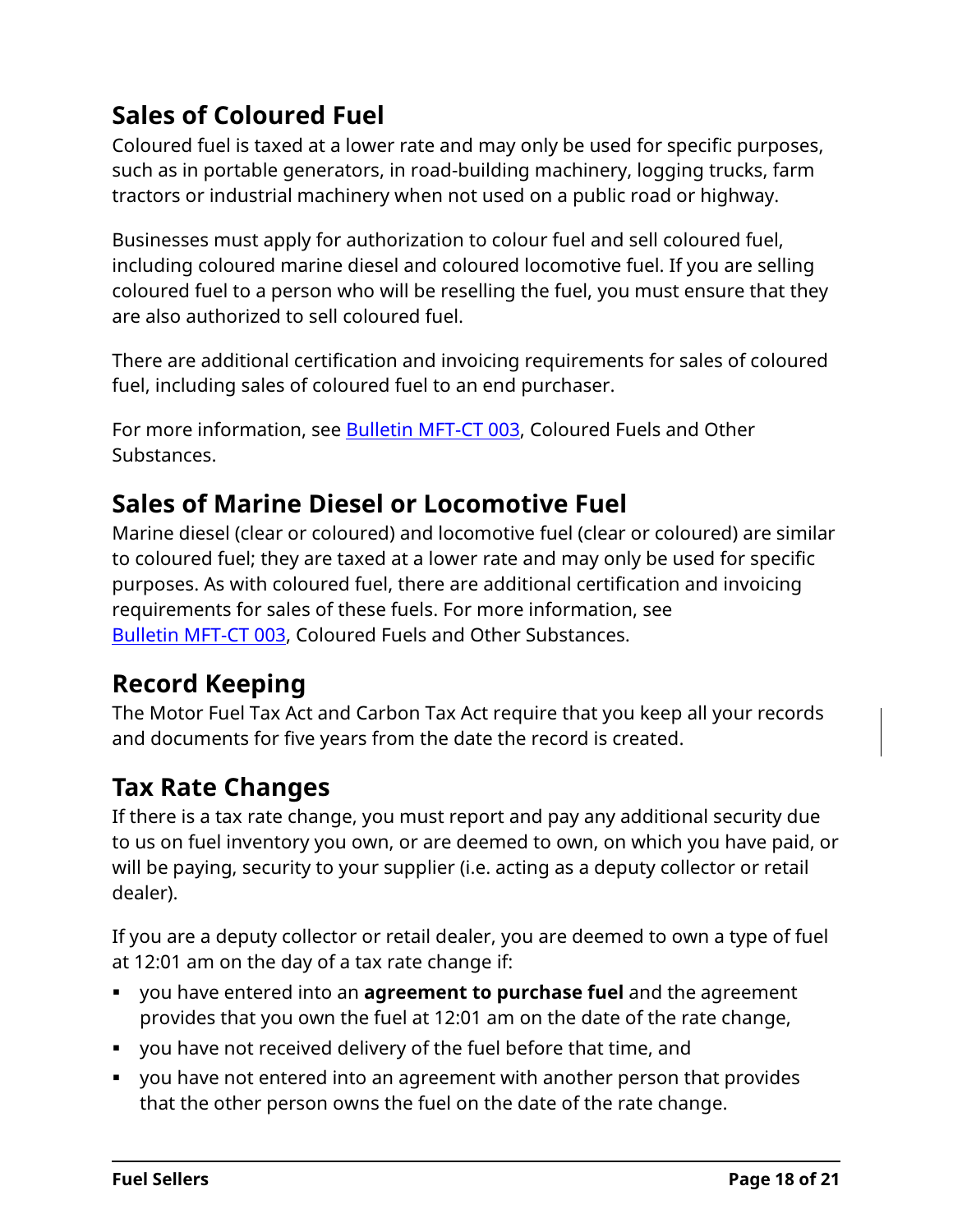# **Sales of Coloured Fuel**

Coloured fuel is taxed at a lower rate and may only be used for specific purposes, such as in portable generators, in road-building machinery, logging trucks, farm tractors or industrial machinery when not used on a public road or highway.

Businesses must apply for authorization to colour fuel and sell coloured fuel, including coloured marine diesel and coloured locomotive fuel. If you are selling coloured fuel to a person who will be reselling the fuel, you must ensure that they are also authorized to sell coloured fuel.

There are additional certification and invoicing requirements for sales of coloured fuel, including sales of coloured fuel to an end purchaser.

For more information, see [Bulletin](http://www2.gov.bc.ca/assets/download/CA9757C7DE7A4984A254EA92DED663F2) MFT-CT 003, Coloured Fuels and Other Substances.

# **Sales of Marine Diesel or Locomotive Fuel**

Marine diesel (clear or coloured) and locomotive fuel (clear or coloured) are similar to coloured fuel; they are taxed at a lower rate and may only be used for specific purposes. As with coloured fuel, there are additional certification and invoicing requirements for sales of these fuels. For more information, see [Bulletin](http://www2.gov.bc.ca/assets/download/CA9757C7DE7A4984A254EA92DED663F2) MFT-CT 003, Coloured Fuels and Other Substances.

# **Record Keeping**

The Motor Fuel Tax Act and Carbon Tax Act require that you keep all your records and documents for five years from the date the record is created.

# **Tax Rate Changes**

If there is a tax rate change, you must report and pay any additional security due to us on fuel inventory you own, or are deemed to own, on which you have paid, or will be paying, security to your supplier (i.e. acting as a deputy collector or retail dealer).

If you are a deputy collector or retail dealer, you are deemed to own a type of fuel at 12:01 am on the day of a tax rate change if:

- you have entered into an **agreement to purchase fuel** and the agreement provides that you own the fuel at 12:01 am on the date of the rate change,
- you have not received delivery of the fuel before that time, and
- you have not entered into an agreement with another person that provides that the other person owns the fuel on the date of the rate change.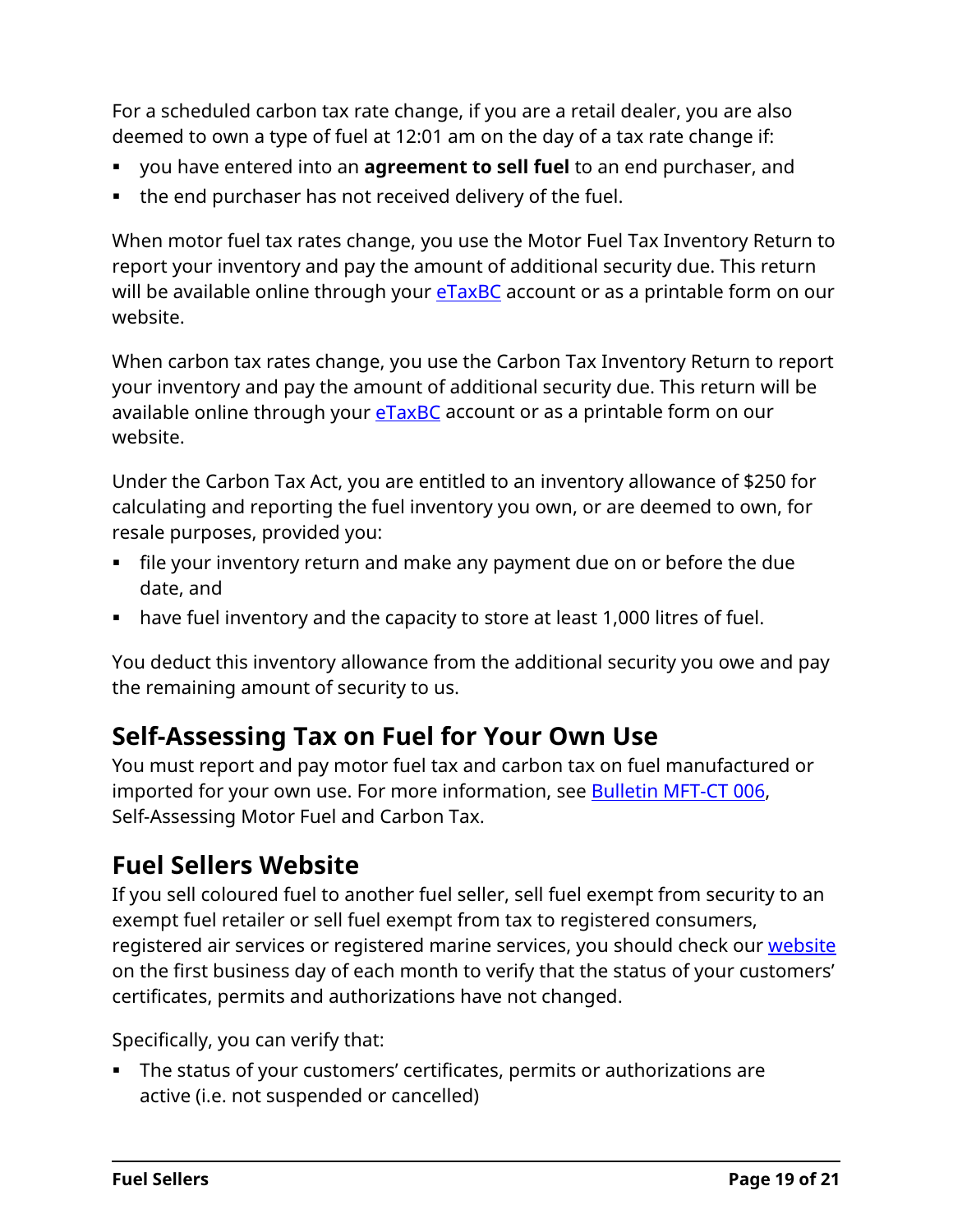For a scheduled carbon tax rate change, if you are a retail dealer, you are also deemed to own a type of fuel at 12:01 am on the day of a tax rate change if:

- you have entered into an **agreement to sell fuel** to an end purchaser, and
- the end purchaser has not received delivery of the fuel.

When motor fuel tax rates change, you use the Motor Fuel Tax Inventory Return to report your inventory and pay the amount of additional security due. This return will be available online through your **[eTaxBC](https://www2.gov.bc.ca/gov/content?id=E437125AC6444B869C94353D1C17FFA3)** account or as a printable form on our website.

When carbon tax rates change, you use the Carbon Tax Inventory Return to report your inventory and pay the amount of additional security due. This return will be available online through your **eTaxBC** account or as a printable form on our website.

Under the Carbon Tax Act, you are entitled to an inventory allowance of \$250 for calculating and reporting the fuel inventory you own, or are deemed to own, for resale purposes, provided you:

- file your inventory return and make any payment due on or before the due date, and
- have fuel inventory and the capacity to store at least 1,000 litres of fuel.

You deduct this inventory allowance from the additional security you owe and pay the remaining amount of security to us.

# **Self-Assessing Tax on Fuel for Your Own Use**

You must report and pay motor fuel tax and carbon tax on fuel manufactured or imported for your own use. For more information, see **Bulletin MFT-CT 006**, Self-Assessing Motor Fuel and Carbon Tax.

### **Fuel Sellers Website**

If you sell coloured fuel to another fuel seller, sell fuel exempt from security to an exempt fuel retailer or sell fuel exempt from tax to registered consumers, registered air services or registered marine services, you should check our [website](http://www2.gov.bc.ca/gov/content?id=B5962997255B46DD8FEE32BEB04558F5#authorized-fuel-sellers-purchasers) on the first business day of each month to verify that the status of your customers' certificates, permits and authorizations have not changed.

Specifically, you can verify that:

 The status of your customers' certificates, permits or authorizations are active (i.e. not suspended or cancelled)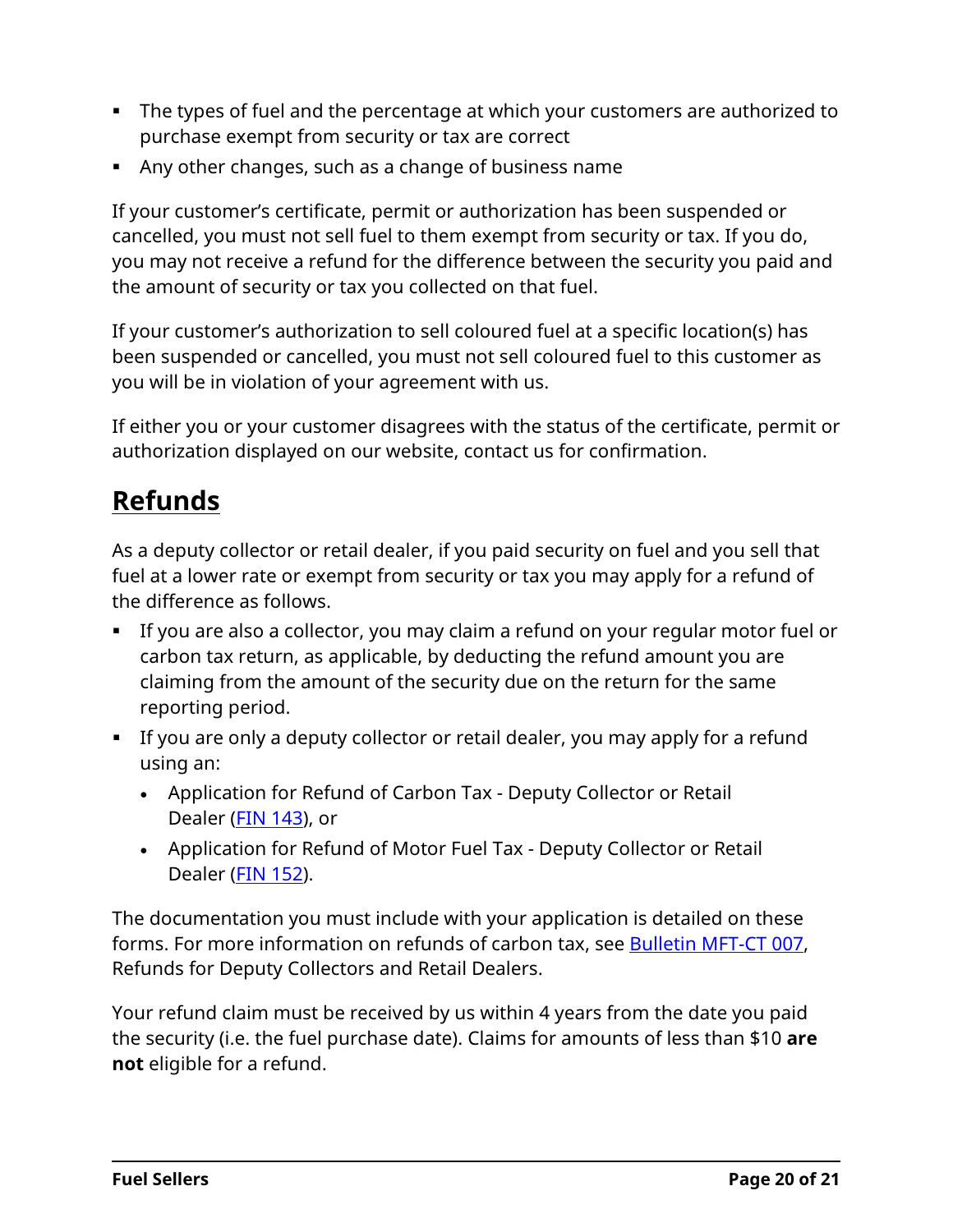- The types of fuel and the percentage at which your customers are authorized to purchase exempt from security or tax are correct
- Any other changes, such as a change of business name

If your customer's certificate, permit or authorization has been suspended or cancelled, you must not sell fuel to them exempt from security or tax. If you do, you may not receive a refund for the difference between the security you paid and the amount of security or tax you collected on that fuel.

If your customer's authorization to sell coloured fuel at a specific location(s) has been suspended or cancelled, you must not sell coloured fuel to this customer as you will be in violation of your agreement with us.

If either you or your customer disagrees with the status of the certificate, permit or authorization displayed on our website, contact us for confirmation.

# <span id="page-19-0"></span>**Refunds**

As a deputy collector or retail dealer, if you paid security on fuel and you sell that fuel at a lower rate or exempt from security or tax you may apply for a refund of the difference as follows.

- If you are also a collector, you may claim a refund on your regular motor fuel or carbon tax return, as applicable, by deducting the refund amount you are claiming from the amount of the security due on the return for the same reporting period.
- If you are only a deputy collector or retail dealer, you may apply for a refund using an:
	- Application for Refund of Carbon Tax Deputy Collector or Retail Dealer (FIN [143\)](http://www2.gov.bc.ca/assets/download/BB663D082AFF49148328A2CEC682AE06), or
	- Application for Refund of Motor Fuel Tax Deputy Collector or Retail Dealer (FIN [152\)](http://www2.gov.bc.ca/assets/download/66A673BF2BB0445D8BA5E7C14ECFBAFF).

The documentation you must include with your application is detailed on these forms. For more information on refunds of carbon tax, see [Bulletin](http://www2.gov.bc.ca/assets/download/98CA9F4FA5C847F2926A94A11F2F93B6) MFT-CT 007, Refunds for Deputy Collectors and Retail Dealers.

Your refund claim must be received by us within 4 years from the date you paid the security (i.e. the fuel purchase date). Claims for amounts of less than \$10 **are not** eligible for a refund.